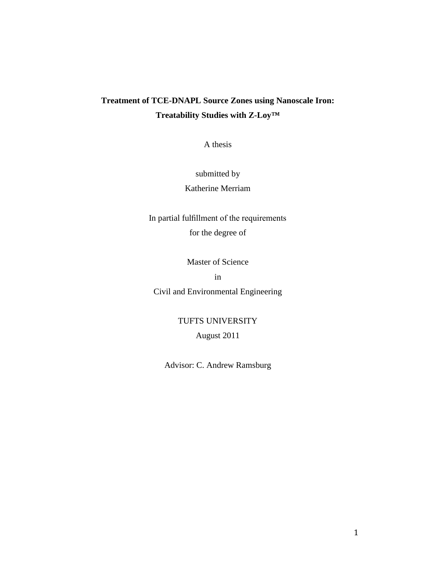# **Treatment of TCE-DNAPL Source Zones using Nanoscale Iron: Treatability Studies with Z-Loy™**

A thesis

submitted by

Katherine Merriam

In partial fulfillment of the requirements for the degree of

Master of Science

in

Civil and Environmental Engineering

TUFTS UNIVERSITY

August 2011

Advisor: C. Andrew Ramsburg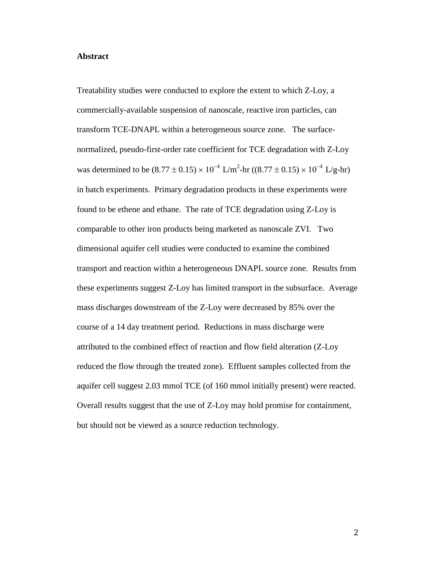#### **Abstract**

Treatability studies were conducted to explore the extent to which Z-Loy, a commercially-available suspension of nanoscale, reactive iron particles, can transform TCE-DNAPL within a heterogeneous source zone. The surfacenormalized, pseudo-first-order rate coefficient for TCE degradation with Z-Loy was determined to be  $(8.77 \pm 0.15) \times 10^{-4}$  L/m<sup>2</sup>-hr  $((8.77 \pm 0.15) \times 10^{-4}$  L/g-hr) in batch experiments. Primary degradation products in these experiments were found to be ethene and ethane. The rate of TCE degradation using Z-Loy is comparable to other iron products being marketed as nanoscale ZVI. Two dimensional aquifer cell studies were conducted to examine the combined transport and reaction within a heterogeneous DNAPL source zone. Results from these experiments suggest Z-Loy has limited transport in the subsurface. Average mass discharges downstream of the Z-Loy were decreased by 85% over the course of a 14 day treatment period. Reductions in mass discharge were attributed to the combined effect of reaction and flow field alteration (Z-Loy reduced the flow through the treated zone). Effluent samples collected from the aquifer cell suggest 2.03 mmol TCE (of 160 mmol initially present) were reacted. Overall results suggest that the use of Z-Loy may hold promise for containment, but should not be viewed as a source reduction technology.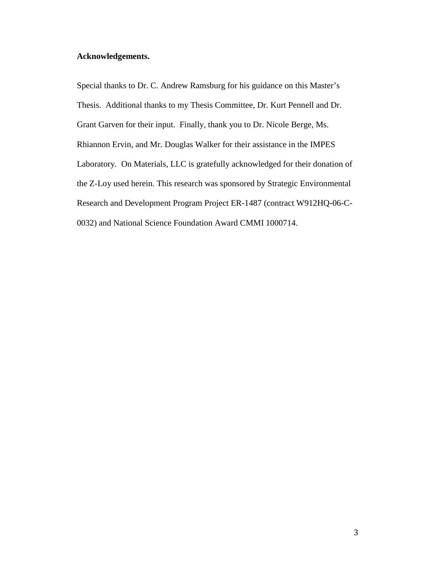# **Acknowledgements.**

Special thanks to Dr. C. Andrew Ramsburg for his guidance on this Master's Thesis. Additional thanks to my Thesis Committee, Dr. Kurt Pennell and Dr. Grant Garven for their input. Finally, thank you to Dr. Nicole Berge, Ms. Rhiannon Ervin, and Mr. Douglas Walker for their assistance in the IMPES Laboratory. On Materials, LLC is gratefully acknowledged for their donation of the Z-Loy used herein. This research was sponsored by Strategic Environmental Research and Development Program Project ER-1487 (contract W912HQ-06-C-0032) and National Science Foundation Award CMMI 1000714.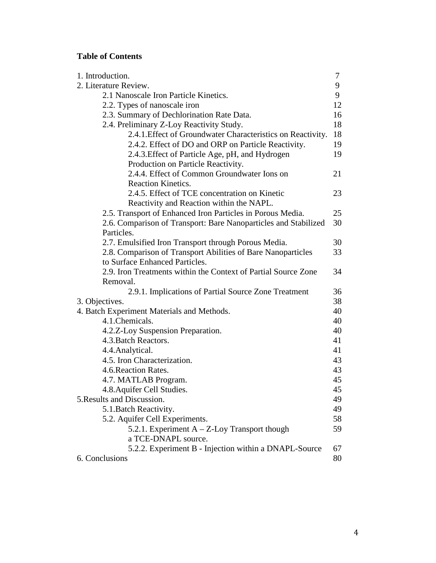# **Table of Contents**

| 1. Introduction.                                                | 7  |
|-----------------------------------------------------------------|----|
| 2. Literature Review.                                           | 9  |
| 2.1 Nanoscale Iron Particle Kinetics.                           | 9  |
| 2.2. Types of nanoscale iron                                    | 12 |
| 2.3. Summary of Dechlorination Rate Data.                       | 16 |
| 2.4. Preliminary Z-Loy Reactivity Study.                        | 18 |
| 2.4.1. Effect of Groundwater Characteristics on Reactivity.     | 18 |
| 2.4.2. Effect of DO and ORP on Particle Reactivity.             | 19 |
| 2.4.3. Effect of Particle Age, pH, and Hydrogen                 | 19 |
| Production on Particle Reactivity.                              |    |
| 2.4.4. Effect of Common Groundwater Ions on                     | 21 |
| <b>Reaction Kinetics.</b>                                       |    |
| 2.4.5. Effect of TCE concentration on Kinetic                   | 23 |
| Reactivity and Reaction within the NAPL.                        |    |
| 2.5. Transport of Enhanced Iron Particles in Porous Media.      | 25 |
| 2.6. Comparison of Transport: Bare Nanoparticles and Stabilized | 30 |
| Particles.                                                      |    |
| 2.7. Emulsified Iron Transport through Porous Media.            | 30 |
| 2.8. Comparison of Transport Abilities of Bare Nanoparticles    | 33 |
| to Surface Enhanced Particles.                                  |    |
| 2.9. Iron Treatments within the Context of Partial Source Zone  | 34 |
| Removal.                                                        |    |
| 2.9.1. Implications of Partial Source Zone Treatment            | 36 |
| 3. Objectives.                                                  | 38 |
| 4. Batch Experiment Materials and Methods.                      | 40 |
| 4.1. Chemicals.                                                 | 40 |
| 4.2.Z-Loy Suspension Preparation.                               | 40 |
| 4.3. Batch Reactors.                                            | 41 |
| 4.4. Analytical.                                                | 41 |
| 4.5. Iron Characterization.                                     | 43 |
| 4.6. Reaction Rates.                                            | 43 |
| 4.7. MATLAB Program.                                            | 45 |
| 4.8. Aquifer Cell Studies                                       | 45 |
| 5. Results and Discussion.                                      | 49 |
| 5.1. Batch Reactivity.                                          | 49 |
| 5.2. Aquifer Cell Experiments.                                  | 58 |
| 5.2.1. Experiment $A - Z$ -Loy Transport though                 | 59 |
| a TCE-DNAPL source.                                             |    |
| 5.2.2. Experiment B - Injection within a DNAPL-Source           | 67 |
| 6. Conclusions                                                  | 80 |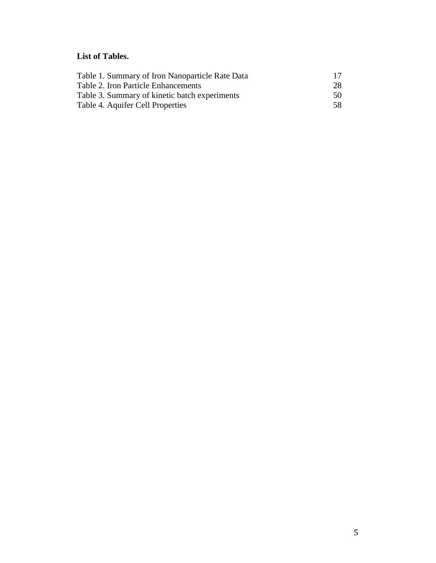# **List of Tables.**

| Table 1. Summary of Iron Nanoparticle Rate Data | 17 |
|-------------------------------------------------|----|
| Table 2. Iron Particle Enhancements             | 28 |
| Table 3. Summary of kinetic batch experiments   | 50 |
| Table 4. Aquifer Cell Properties                | 58 |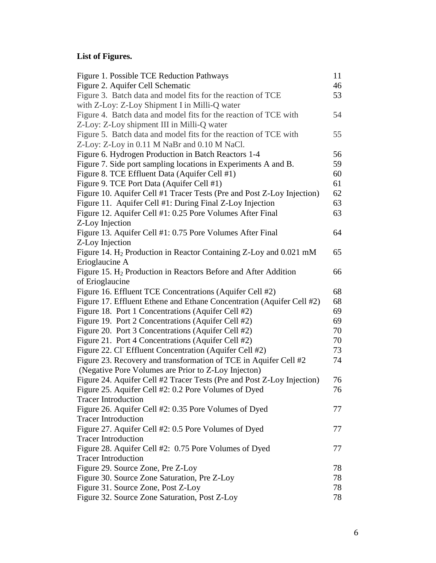# **List of Figures.**

| Figure 1. Possible TCE Reduction Pathways                                     | 11 |
|-------------------------------------------------------------------------------|----|
| Figure 2. Aquifer Cell Schematic                                              | 46 |
| Figure 3. Batch data and model fits for the reaction of TCE                   | 53 |
| with Z-Loy: Z-Loy Shipment I in Milli-Q water                                 |    |
| Figure 4. Batch data and model fits for the reaction of TCE with              | 54 |
| Z-Loy: Z-Loy shipment III in Milli-Q water                                    |    |
| Figure 5. Batch data and model fits for the reaction of TCE with              | 55 |
| Z-Loy: Z-Loy in 0.11 M NaBr and 0.10 M NaCl.                                  |    |
| Figure 6. Hydrogen Production in Batch Reactors 1-4                           | 56 |
| Figure 7. Side port sampling locations in Experiments A and B.                | 59 |
| Figure 8. TCE Effluent Data (Aquifer Cell #1)                                 | 60 |
| Figure 9. TCE Port Data (Aquifer Cell #1)                                     | 61 |
| Figure 10. Aquifer Cell #1 Tracer Tests (Pre and Post Z-Loy Injection)        | 62 |
| Figure 11. Aquifer Cell #1: During Final Z-Loy Injection                      | 63 |
| Figure 12. Aquifer Cell #1: 0.25 Pore Volumes After Final                     | 63 |
| Z-Loy Injection                                                               |    |
| Figure 13. Aquifer Cell #1: 0.75 Pore Volumes After Final                     | 64 |
| Z-Loy Injection                                                               |    |
| Figure 14. H <sub>2</sub> Production in Reactor Containing Z-Loy and 0.021 mM | 65 |
| Erioglaucine A                                                                |    |
| Figure 15. $H_2$ Production in Reactors Before and After Addition             | 66 |
| of Erioglaucine                                                               |    |
| Figure 16. Effluent TCE Concentrations (Aquifer Cell #2)                      | 68 |
| Figure 17. Effluent Ethene and Ethane Concentration (Aquifer Cell #2)         | 68 |
| Figure 18. Port 1 Concentrations (Aquifer Cell #2)                            | 69 |
| Figure 19. Port 2 Concentrations (Aquifer Cell #2)                            | 69 |
| Figure 20. Port 3 Concentrations (Aquifer Cell #2)                            | 70 |
| Figure 21. Port 4 Concentrations (Aquifer Cell #2)                            | 70 |
| Figure 22. Cl Effluent Concentration (Aquifer Cell #2)                        | 73 |
| Figure 23. Recovery and transformation of TCE in Aquifer Cell #2              | 74 |
| (Negative Pore Volumes are Prior to Z-Loy Injecton)                           |    |
| Figure 24. Aquifer Cell #2 Tracer Tests (Pre and Post Z-Loy Injection)        | 76 |
| Figure 25. Aquifer Cell #2: 0.2 Pore Volumes of Dyed                          | 76 |
| <b>Tracer Introduction</b>                                                    |    |
| Figure 26. Aquifer Cell #2: 0.35 Pore Volumes of Dyed                         | 77 |
| <b>Tracer Introduction</b>                                                    |    |
| Figure 27. Aquifer Cell #2: 0.5 Pore Volumes of Dyed                          | 77 |
| <b>Tracer Introduction</b>                                                    |    |
| Figure 28. Aquifer Cell #2: 0.75 Pore Volumes of Dyed                         | 77 |
| <b>Tracer Introduction</b>                                                    |    |
| Figure 29. Source Zone, Pre Z-Loy                                             | 78 |
| Figure 30. Source Zone Saturation, Pre Z-Loy                                  | 78 |
| Figure 31. Source Zone, Post Z-Loy                                            | 78 |
| Figure 32. Source Zone Saturation, Post Z-Loy                                 | 78 |
|                                                                               |    |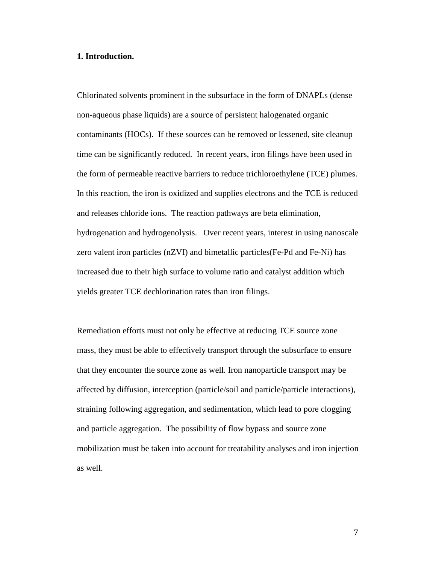### **1. Introduction.**

Chlorinated solvents prominent in the subsurface in the form of DNAPLs (dense non-aqueous phase liquids) are a source of persistent halogenated organic contaminants (HOCs). If these sources can be removed or lessened, site cleanup time can be significantly reduced. In recent years, iron filings have been used in the form of permeable reactive barriers to reduce trichloroethylene (TCE) plumes. In this reaction, the iron is oxidized and supplies electrons and the TCE is reduced and releases chloride ions. The reaction pathways are beta elimination, hydrogenation and hydrogenolysis. Over recent years, interest in using nanoscale zero valent iron particles (nZVI) and bimetallic particles(Fe-Pd and Fe-Ni) has increased due to their high surface to volume ratio and catalyst addition which yields greater TCE dechlorination rates than iron filings.

Remediation efforts must not only be effective at reducing TCE source zone mass, they must be able to effectively transport through the subsurface to ensure that they encounter the source zone as well. Iron nanoparticle transport may be affected by diffusion, interception (particle/soil and particle/particle interactions), straining following aggregation, and sedimentation, which lead to pore clogging and particle aggregation. The possibility of flow bypass and source zone mobilization must be taken into account for treatability analyses and iron injection as well.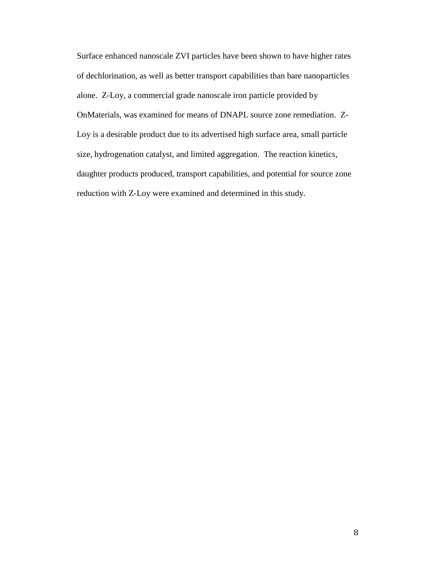Surface enhanced nanoscale ZVI particles have been shown to have higher rates of dechlorination, as well as better transport capabilities than bare nanoparticles alone. Z-Loy, a commercial grade nanoscale iron particle provided by OnMaterials, was examined for means of DNAPL source zone remediation. Z-Loy is a desirable product due to its advertised high surface area, small particle size, hydrogenation catalyst, and limited aggregation. The reaction kinetics, daughter products produced, transport capabilities, and potential for source zone reduction with Z-Loy were examined and determined in this study.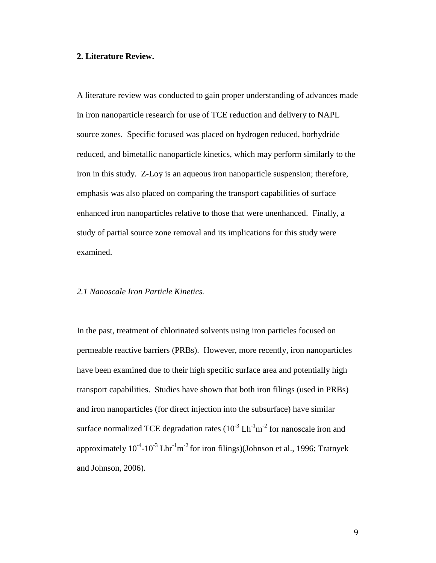### **2. Literature Review.**

A literature review was conducted to gain proper understanding of advances made in iron nanoparticle research for use of TCE reduction and delivery to NAPL source zones. Specific focused was placed on hydrogen reduced, borhydride reduced, and bimetallic nanoparticle kinetics, which may perform similarly to the iron in this study. Z-Loy is an aqueous iron nanoparticle suspension; therefore, emphasis was also placed on comparing the transport capabilities of surface enhanced iron nanoparticles relative to those that were unenhanced. Finally, a study of partial source zone removal and its implications for this study were examined.

### *2.1 Nanoscale Iron Particle Kinetics.*

In the past, treatment of chlorinated solvents using iron particles focused on permeable reactive barriers (PRBs). However, more recently, iron nanoparticles have been examined due to their high specific surface area and potentially high transport capabilities. Studies have shown that both iron filings (used in PRBs) and iron nanoparticles (for direct injection into the subsurface) have similar surface normalized TCE degradation rates  $(10^{-3} Lh^{-1}m^{-2})$  for nanoscale iron and approximately  $10^{-4}$ - $10^{-3}$  Lhr<sup>-1</sup>m<sup>-2</sup> for iron filings)(Johnson et al., 1996; Tratnyek and Johnson, 2006).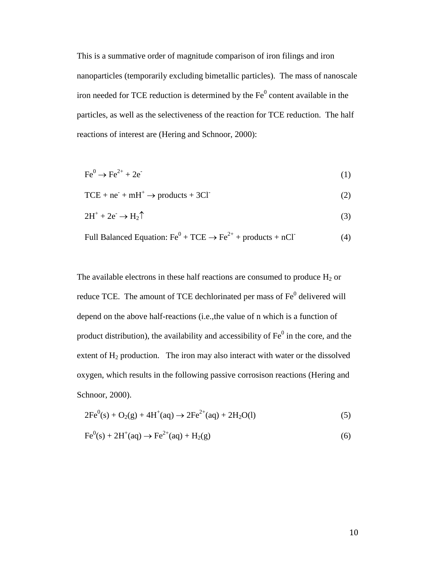This is a summative order of magnitude comparison of iron filings and iron nanoparticles (temporarily excluding bimetallic particles). The mass of nanoscale iron needed for TCE reduction is determined by the  $Fe<sup>0</sup>$  content available in the particles, as well as the selectiveness of the reaction for TCE reduction. The half reactions of interest are (Hering and Schnoor, 2000):

$$
\text{Fe}^0 \to \text{Fe}^{2+} + 2\text{e}^{\cdot} \tag{1}
$$

$$
TCE + ne+ + mH+ \to products + 3Cl-
$$
 (2)

$$
2H^{+} + 2e^{-} \rightarrow H_{2} \uparrow
$$
\n<sup>(3)</sup>

Full Balanced Equation: 
$$
Fe^0 + TCE \rightarrow Fe^{2+} + products + nCI
$$
 (4)

The available electrons in these half reactions are consumed to produce  $H_2$  or reduce TCE. The amount of TCE dechlorinated per mass of Fe<sup>0</sup> delivered will depend on the above half-reactions (i.e.,the value of n which is a function of product distribution), the availability and accessibility of  $Fe<sup>0</sup>$  in the core, and the extent of  $H_2$  production. The iron may also interact with water or the dissolved oxygen, which results in the following passive corrosison reactions (Hering and Schnoor, 2000).

$$
2Fe^{0}(s) + O_{2}(g) + 4H^{+}(aq) \rightarrow 2Fe^{2+}(aq) + 2H_{2}O(l)
$$
\n(5)

$$
Fe0(s) + 2H+(aq) \to Fe2+(aq) + H2(g)
$$
 (6)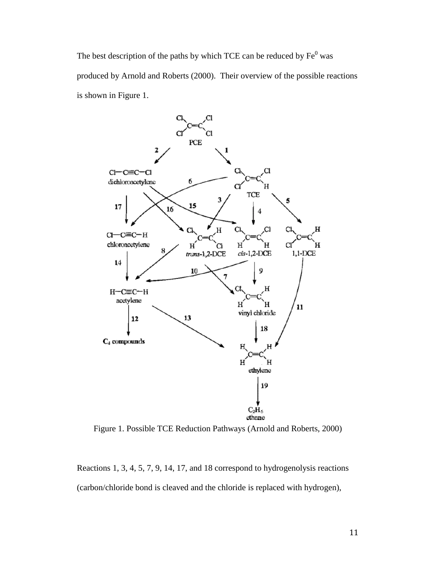The best description of the paths by which TCE can be reduced by  $Fe<sup>0</sup>$  was produced by Arnold and Roberts (2000). Their overview of the possible reactions is shown in Figure 1.



Figure 1. Possible TCE Reduction Pathways (Arnold and Roberts, 2000)

Reactions 1, 3, 4, 5, 7, 9, 14, 17, and 18 correspond to hydrogenolysis reactions (carbon/chloride bond is cleaved and the chloride is replaced with hydrogen),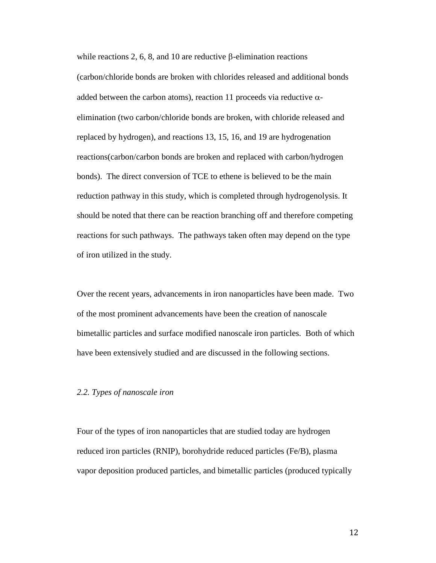while reactions 2, 6, 8, and 10 are reductive β-elimination reactions (carbon/chloride bonds are broken with chlorides released and additional bonds added between the carbon atoms), reaction 11 proceeds via reductive  $\alpha$ elimination (two carbon/chloride bonds are broken, with chloride released and replaced by hydrogen), and reactions 13, 15, 16, and 19 are hydrogenation reactions(carbon/carbon bonds are broken and replaced with carbon/hydrogen bonds). The direct conversion of TCE to ethene is believed to be the main reduction pathway in this study, which is completed through hydrogenolysis. It should be noted that there can be reaction branching off and therefore competing reactions for such pathways. The pathways taken often may depend on the type of iron utilized in the study.

Over the recent years, advancements in iron nanoparticles have been made. Two of the most prominent advancements have been the creation of nanoscale bimetallic particles and surface modified nanoscale iron particles. Both of which have been extensively studied and are discussed in the following sections.

## *2.2. Types of nanoscale iron*

Four of the types of iron nanoparticles that are studied today are hydrogen reduced iron particles (RNIP), borohydride reduced particles (Fe/B), plasma vapor deposition produced particles, and bimetallic particles (produced typically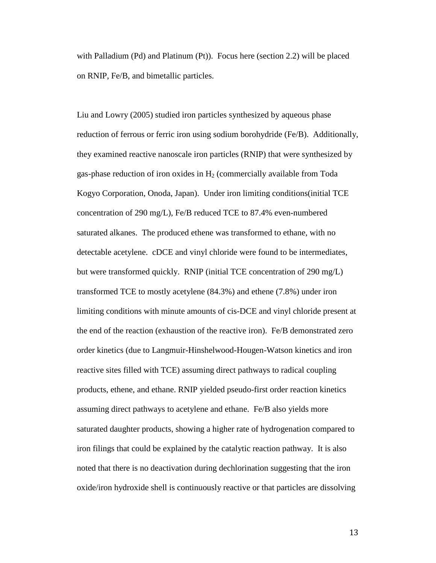with Palladium (Pd) and Platinum (Pt)). Focus here (section 2.2) will be placed on RNIP, Fe/B, and bimetallic particles.

Liu and Lowry (2005) studied iron particles synthesized by aqueous phase reduction of ferrous or ferric iron using sodium borohydride (Fe/B). Additionally, they examined reactive nanoscale iron particles (RNIP) that were synthesized by gas-phase reduction of iron oxides in  $H_2$  (commercially available from Toda Kogyo Corporation, Onoda, Japan). Under iron limiting conditions(initial TCE concentration of 290 mg/L), Fe/B reduced TCE to 87.4% even-numbered saturated alkanes. The produced ethene was transformed to ethane, with no detectable acetylene. cDCE and vinyl chloride were found to be intermediates, but were transformed quickly. RNIP (initial TCE concentration of 290 mg/L) transformed TCE to mostly acetylene (84.3%) and ethene (7.8%) under iron limiting conditions with minute amounts of cis-DCE and vinyl chloride present at the end of the reaction (exhaustion of the reactive iron). Fe/B demonstrated zero order kinetics (due to Langmuir-Hinshelwood-Hougen-Watson kinetics and iron reactive sites filled with TCE) assuming direct pathways to radical coupling products, ethene, and ethane. RNIP yielded pseudo-first order reaction kinetics assuming direct pathways to acetylene and ethane. Fe/B also yields more saturated daughter products, showing a higher rate of hydrogenation compared to iron filings that could be explained by the catalytic reaction pathway. It is also noted that there is no deactivation during dechlorination suggesting that the iron oxide/iron hydroxide shell is continuously reactive or that particles are dissolving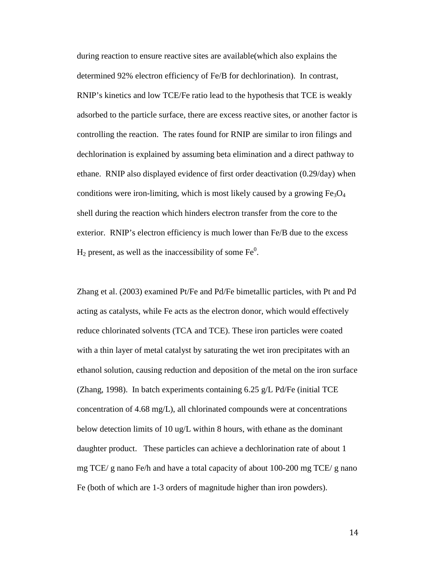during reaction to ensure reactive sites are available(which also explains the determined 92% electron efficiency of Fe/B for dechlorination). In contrast, RNIP's kinetics and low TCE/Fe ratio lead to the hypothesis that TCE is weakly adsorbed to the particle surface, there are excess reactive sites, or another factor is controlling the reaction. The rates found for RNIP are similar to iron filings and dechlorination is explained by assuming beta elimination and a direct pathway to ethane. RNIP also displayed evidence of first order deactivation (0.29/day) when conditions were iron-limiting, which is most likely caused by a growing  $Fe<sub>3</sub>O<sub>4</sub>$ shell during the reaction which hinders electron transfer from the core to the exterior. RNIP's electron efficiency is much lower than Fe/B due to the excess  $H_2$  present, as well as the inaccessibility of some Fe<sup>0</sup>.

Zhang et al. (2003) examined Pt/Fe and Pd/Fe bimetallic particles, with Pt and Pd acting as catalysts, while Fe acts as the electron donor, which would effectively reduce chlorinated solvents (TCA and TCE). These iron particles were coated with a thin layer of metal catalyst by saturating the wet iron precipitates with an ethanol solution, causing reduction and deposition of the metal on the iron surface (Zhang, 1998). In batch experiments containing  $6.25$  g/L Pd/Fe (initial TCE concentration of 4.68 mg/L), all chlorinated compounds were at concentrations below detection limits of 10 ug/L within 8 hours, with ethane as the dominant daughter product. These particles can achieve a dechlorination rate of about 1 mg TCE/ g nano Fe/h and have a total capacity of about 100-200 mg TCE/ g nano Fe (both of which are 1-3 orders of magnitude higher than iron powders).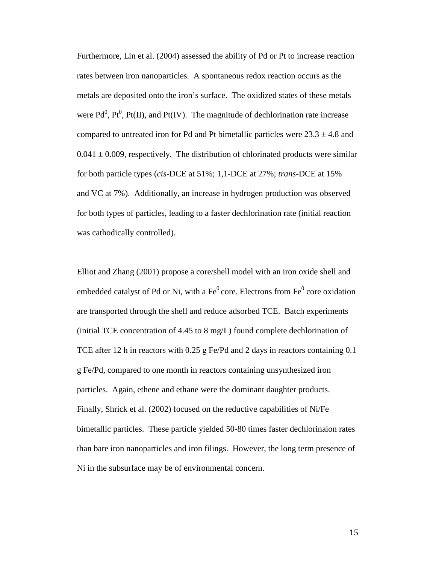Furthermore, Lin et al. (2004) assessed the ability of Pd or Pt to increase reaction rates between iron nanoparticles. A spontaneous redox reaction occurs as the metals are deposited onto the iron's surface. The oxidized states of these metals were  $Pd^0$ ,  $Pt^0$ ,  $Pt(II)$ , and  $Pt(IV)$ . The magnitude of dechlorination rate increase compared to untreated iron for Pd and Pt bimetallic particles were  $23.3 \pm 4.8$  and  $0.041 \pm 0.009$ , respectively. The distribution of chlorinated products were similar for both particle types (*cis*-DCE at 51%; 1,1-DCE at 27%; *trans*-DCE at 15% and VC at 7%). Additionally, an increase in hydrogen production was observed for both types of particles, leading to a faster dechlorination rate (initial reaction was cathodically controlled).

Elliot and Zhang (2001) propose a core/shell model with an iron oxide shell and embedded catalyst of Pd or Ni, with a  $Fe<sup>0</sup>$  core. Electrons from  $Fe<sup>0</sup>$  core oxidation are transported through the shell and reduce adsorbed TCE. Batch experiments (initial TCE concentration of 4.45 to 8 mg/L) found complete dechlorination of TCE after 12 h in reactors with 0.25 g Fe/Pd and 2 days in reactors containing  $0.1$ g Fe/Pd, compared to one month in reactors containing unsynthesized iron particles. Again, ethene and ethane were the dominant daughter products. Finally, Shrick et al. (2002) focused on the reductive capabilities of Ni/Fe bimetallic particles. These particle yielded 50-80 times faster dechlorinaion rates than bare iron nanoparticles and iron filings. However, the long term presence of Ni in the subsurface may be of environmental concern.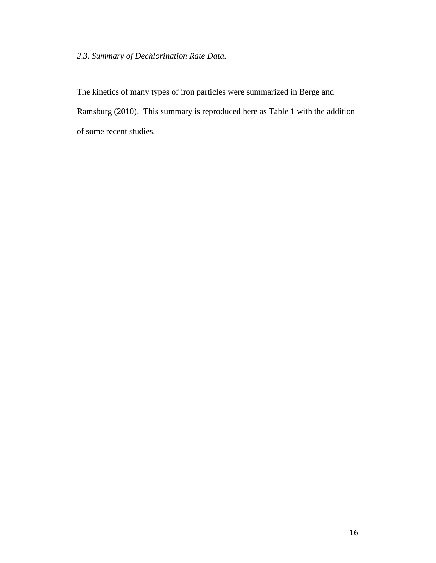# *2.3. Summary of Dechlorination Rate Data.*

The kinetics of many types of iron particles were summarized in Berge and Ramsburg (2010). This summary is reproduced here as Table 1 with the addition of some recent studies.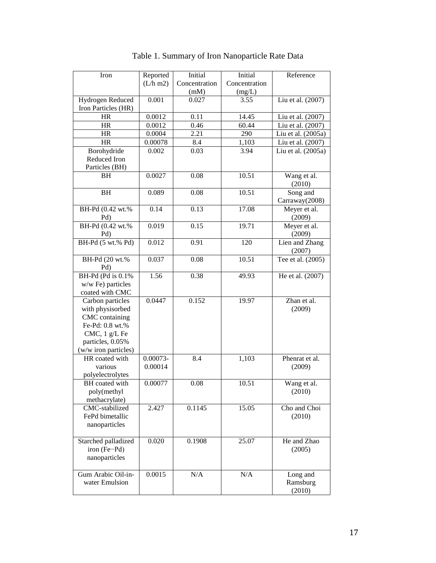| Iron                      | Reported             | Initial       | Initial       | Reference                |
|---------------------------|----------------------|---------------|---------------|--------------------------|
|                           | $(L/h \, \text{m2})$ | Concentration | Concentration |                          |
|                           |                      | (mM)          | (mg/L)        |                          |
| Hydrogen Reduced          | 0.001                | 0.027         | 3.55          | Liu et al. (2007)        |
| Iron Particles (HR)       |                      |               |               |                          |
| HR                        | 0.0012               | 0.11          | 14.45         | Liu et al. (2007)        |
| <b>HR</b>                 | 0.0012               | 0.46          | 60.44         | Liu et al. (2007)        |
| <b>HR</b>                 | 0.0004               | 2.21          | 290           | Liu et al. (2005a)       |
| <b>HR</b>                 | 0.00078              | 8.4           | 1,103         | Liu et al. (2007)        |
| Borohydride               | 0.002                | 0.03          | 3.94          | Liu et al. (2005a)       |
| Reduced Iron              |                      |               |               |                          |
| Particles (BH)            |                      |               |               |                          |
| BH                        | 0.0027               | 0.08          | 10.51         | Wang et al.<br>(2010)    |
| <b>BH</b>                 | 0.089                | 0.08          | 10.51         | Song and                 |
|                           |                      |               |               | Carraway(2008)           |
| BH-Pd (0.42 wt.%<br>Pd)   | 0.14                 | 0.13          | 17.08         | Meyer et al.<br>(2009)   |
| BH-Pd (0.42 wt.%)<br>Pd)  | 0.019                | 0.15          | 19.71         | Meyer et al.<br>(2009)   |
| BH-Pd (5 wt.% Pd)         | 0.012                | 0.91          | 120           | Lien and Zhang<br>(2007) |
| BH-Pd (20 wt.%<br>Pd)     | 0.037                | 0.08          | 10.51         | Tee et al. $(2005)$      |
| <b>BH-Pd</b> (Pd is 0.1%) | 1.56                 | 0.38          | 49.93         | He et al. (2007)         |
| w/w Fe) particles         |                      |               |               |                          |
| coated with CMC           |                      |               |               |                          |
| Carbon particles          | 0.0447               | 0.152         | 19.97         | Zhan et al.              |
| with physisorbed          |                      |               |               | (2009)                   |
| CMC containing            |                      |               |               |                          |
| Fe-Pd: 0.8 wt.%           |                      |               |               |                          |
| CMC, 1 g/L Fe             |                      |               |               |                          |
| particles, 0.05%          |                      |               |               |                          |
| (w/w iron particles)      |                      |               |               |                          |
| HR coated with            | $0.00073 -$          | 8.4           | 1,103         | Phenrat et al.           |
| various                   | 0.00014              |               |               | (2009)                   |
| polyelectrolytes          |                      |               |               |                          |
| BH coated with            | 0.00077              | 0.08          | 10.51         | Wang et al.              |
| poly(methyl               |                      |               |               | (2010)                   |
| methacrylate)             |                      |               |               |                          |
| CMC-stabilized            | 2.427                | 0.1145        | 15.05         | Cho and Choi             |
| FePd bimetallic           |                      |               |               | (2010)                   |
| nanoparticles             |                      |               |               |                          |
|                           |                      |               |               |                          |
| Starched palladized       | 0.020                | 0.1908        | 25.07         | He and Zhao              |
| $iron (Fe-Pd)$            |                      |               |               | (2005)                   |
| nanoparticles             |                      |               |               |                          |
| Gum Arabic Oil-in-        | 0.0015               | N/A           | $\rm N/A$     | Long and                 |
| water Emulsion            |                      |               |               | Ramsburg                 |
|                           |                      |               |               | (2010)                   |
|                           |                      |               |               |                          |

Table 1. Summary of Iron Nanoparticle Rate Data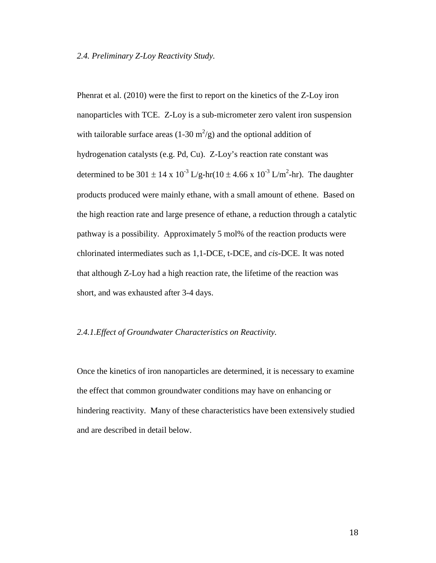#### *2.4. Preliminary Z-Loy Reactivity Study.*

Phenrat et al. (2010) were the first to report on the kinetics of the Z-Loy iron nanoparticles with TCE. Z-Loy is a sub-micrometer zero valent iron suspension with tailorable surface areas (1-30  $m^2/g$ ) and the optional addition of hydrogenation catalysts (e.g. Pd, Cu). Z-Loy's reaction rate constant was determined to be 301  $\pm$  14 x 10<sup>-3</sup> L/g-hr(10  $\pm$  4.66 x 10<sup>-3</sup> L/m<sup>2</sup>-hr). The daughter products produced were mainly ethane, with a small amount of ethene. Based on the high reaction rate and large presence of ethane, a reduction through a catalytic pathway is a possibility. Approximately 5 mol% of the reaction products were chlorinated intermediates such as 1,1-DCE, t-DCE, and *cis*-DCE. It was noted that although Z-Loy had a high reaction rate, the lifetime of the reaction was short, and was exhausted after 3-4 days.

## *2.4.1.Effect of Groundwater Characteristics on Reactivity.*

Once the kinetics of iron nanoparticles are determined, it is necessary to examine the effect that common groundwater conditions may have on enhancing or hindering reactivity. Many of these characteristics have been extensively studied and are described in detail below.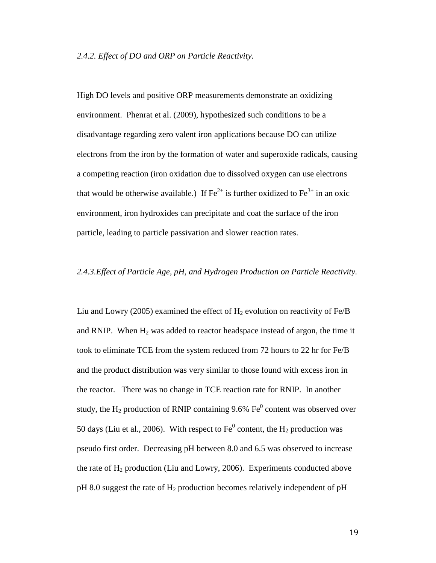#### *2.4.2. Effect of DO and ORP on Particle Reactivity.*

High DO levels and positive ORP measurements demonstrate an oxidizing environment. Phenrat et al. (2009), hypothesized such conditions to be a disadvantage regarding zero valent iron applications because DO can utilize electrons from the iron by the formation of water and superoxide radicals, causing a competing reaction (iron oxidation due to dissolved oxygen can use electrons that would be otherwise available.) If  $\text{Fe}^{2+}$  is further oxidized to  $\text{Fe}^{3+}$  in an oxic environment, iron hydroxides can precipitate and coat the surface of the iron particle, leading to particle passivation and slower reaction rates.

#### *2.4.3.Effect of Particle Age, pH, and Hydrogen Production on Particle Reactivity.*

Liu and Lowry (2005) examined the effect of  $H_2$  evolution on reactivity of Fe/B and RNIP. When  $H_2$  was added to reactor headspace instead of argon, the time it took to eliminate TCE from the system reduced from 72 hours to 22 hr for Fe/B and the product distribution was very similar to those found with excess iron in the reactor. There was no change in TCE reaction rate for RNIP. In another study, the  $H_2$  production of RNIP containing 9.6% Fe<sup>0</sup> content was observed over 50 days (Liu et al., 2006). With respect to  $Fe^0$  content, the H<sub>2</sub> production was pseudo first order. Decreasing pH between 8.0 and 6.5 was observed to increase the rate of  $H_2$  production (Liu and Lowry, 2006). Experiments conducted above  $pH$  8.0 suggest the rate of  $H_2$  production becomes relatively independent of  $pH$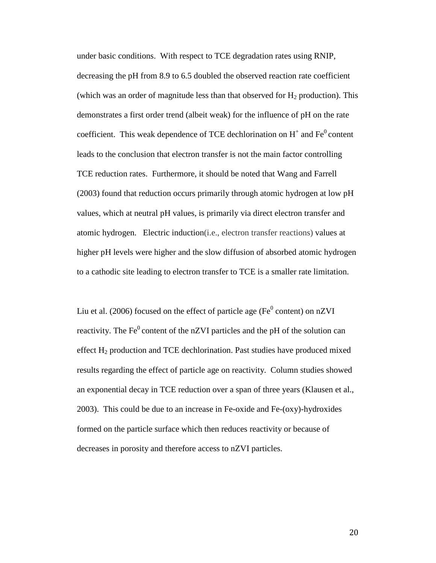under basic conditions. With respect to TCE degradation rates using RNIP, decreasing the pH from 8.9 to 6.5 doubled the observed reaction rate coefficient (which was an order of magnitude less than that observed for  $H_2$  production). This demonstrates a first order trend (albeit weak) for the influence of pH on the rate coefficient. This weak dependence of TCE dechlorination on  $H^+$  and  $Fe^0$  content leads to the conclusion that electron transfer is not the main factor controlling TCE reduction rates. Furthermore, it should be noted that Wang and Farrell (2003) found that reduction occurs primarily through atomic hydrogen at low pH values, which at neutral pH values, is primarily via direct electron transfer and atomic hydrogen. Electric induction(i.e., electron transfer reactions) values at higher pH levels were higher and the slow diffusion of absorbed atomic hydrogen to a cathodic site leading to electron transfer to TCE is a smaller rate limitation.

Liu et al. (2006) focused on the effect of particle age ( $Fe<sup>0</sup>$  content) on nZVI reactivity. The  $Fe<sup>0</sup>$  content of the nZVI particles and the pH of the solution can effect  $H_2$  production and TCE dechlorination. Past studies have produced mixed results regarding the effect of particle age on reactivity. Column studies showed an exponential decay in TCE reduction over a span of three years (Klausen et al., 2003). This could be due to an increase in Fe-oxide and Fe-(oxy)-hydroxides formed on the particle surface which then reduces reactivity or because of decreases in porosity and therefore access to nZVI particles.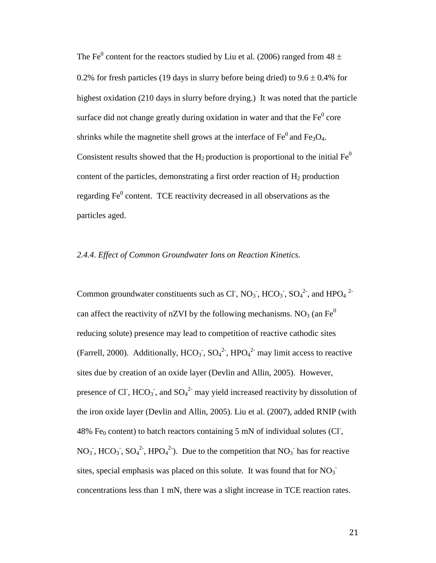The Fe<sup>0</sup> content for the reactors studied by Liu et al. (2006) ranged from  $48 \pm$ 0.2% for fresh particles (19 days in slurry before being dried) to  $9.6 \pm 0.4$ % for highest oxidation (210 days in slurry before drying.) It was noted that the particle surface did not change greatly during oxidation in water and that the  $Fe<sup>0</sup>$  core shrinks while the magnetite shell grows at the interface of  $Fe<sup>0</sup>$  and Fe<sub>3</sub>O<sub>4</sub>. Consistent results showed that the  $H_2$  production is proportional to the initial  $Fe^{0}$ content of the particles, demonstrating a first order reaction of  $H_2$  production regarding  $Fe<sup>0</sup>$  content. TCE reactivity decreased in all observations as the particles aged.

# *2.4.4. Effect of Common Groundwater Ions on Reaction Kinetics.*

Common groundwater constituents such as Cl<sup>-</sup>, NO<sub>3</sub><sup>-</sup>, HCO<sub>3</sub><sup>-</sup>, SO<sub>4</sub><sup>2</sup><sup>-</sup>, and HPO<sub>4</sub><sup>2</sup><sup>-</sup> can affect the reactivity of nZVI by the following mechanisms. NO<sub>3</sub> (an Fe<sup>0</sup>) reducing solute) presence may lead to competition of reactive cathodic sites (Farrell, 2000). Additionally,  $HCO_3$ ,  $SO_4^2$ ,  $HPO_4^2$  may limit access to reactive sites due by creation of an oxide layer (Devlin and Allin, 2005). However, presence of Cl<sup>-</sup>, HCO<sub>3</sub><sup>-</sup>, and SO<sub>4</sub><sup>2-</sup> may yield increased reactivity by dissolution of the iron oxide layer (Devlin and Allin, 2005). Liu et al. (2007), added RNIP (with 48% Fe<sub>0</sub> content) to batch reactors containing 5 mN of individual solutes (CI, NO<sub>3</sub>, HCO<sub>3</sub>, SO<sub>4</sub><sup>2</sup>, HPO<sub>4</sub><sup>2</sup>). Due to the competition that NO<sub>3</sub> has for reactive sites, special emphasis was placed on this solute. It was found that for  $NO_3^$ concentrations less than 1 mN, there was a slight increase in TCE reaction rates.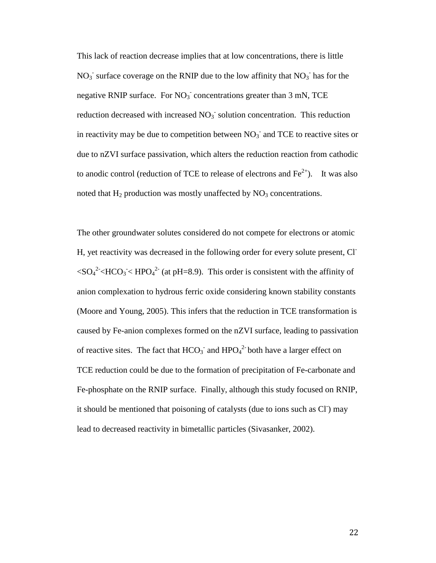This lack of reaction decrease implies that at low concentrations, there is little  $NO<sub>3</sub>$  surface coverage on the RNIP due to the low affinity that  $NO<sub>3</sub>$  has for the negative RNIP surface. For  $NO<sub>3</sub>$  concentrations greater than 3 mN, TCE reduction decreased with increased  $NO<sub>3</sub>$  solution concentration. This reduction in reactivity may be due to competition between  $NO<sub>3</sub>$  and TCE to reactive sites or due to nZVI surface passivation, which alters the reduction reaction from cathodic to anodic control (reduction of TCE to release of electrons and  $Fe^{2+}$ ). It was also noted that  $H_2$  production was mostly unaffected by  $NO_3$  concentrations.

The other groundwater solutes considered do not compete for electrons or atomic H, yet reactivity was decreased in the following order for every solute present, Cl-  $\langle SO_4^2 \rangle$   $\langle HCO_3 \rangle$   $\langle HPO_4^2 \rangle$  (at pH=8.9). This order is consistent with the affinity of anion complexation to hydrous ferric oxide considering known stability constants (Moore and Young, 2005). This infers that the reduction in TCE transformation is caused by Fe-anion complexes formed on the nZVI surface, leading to passivation of reactive sites. The fact that  $HCO_3^-$  and  $HPO_4^2$  both have a larger effect on TCE reduction could be due to the formation of precipitation of Fe-carbonate and Fe-phosphate on the RNIP surface. Finally, although this study focused on RNIP, it should be mentioned that poisoning of catalysts (due to ions such as Cl) may lead to decreased reactivity in bimetallic particles (Sivasanker, 2002).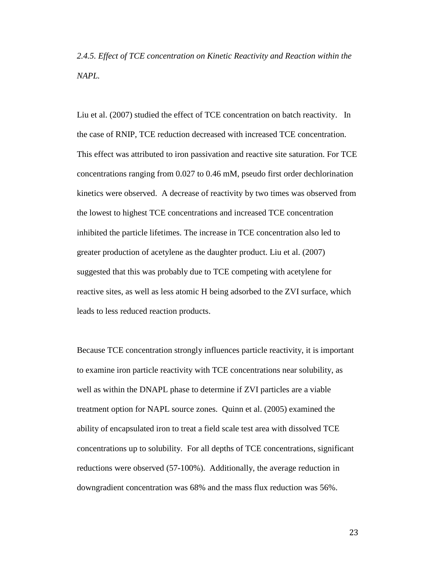*2.4.5. Effect of TCE concentration on Kinetic Reactivity and Reaction within the NAPL.*

Liu et al. (2007) studied the effect of TCE concentration on batch reactivity. In the case of RNIP, TCE reduction decreased with increased TCE concentration. This effect was attributed to iron passivation and reactive site saturation. For TCE concentrations ranging from 0.027 to 0.46 mM, pseudo first order dechlorination kinetics were observed. A decrease of reactivity by two times was observed from the lowest to highest TCE concentrations and increased TCE concentration inhibited the particle lifetimes. The increase in TCE concentration also led to greater production of acetylene as the daughter product. Liu et al. (2007) suggested that this was probably due to TCE competing with acetylene for reactive sites, as well as less atomic H being adsorbed to the ZVI surface, which leads to less reduced reaction products.

Because TCE concentration strongly influences particle reactivity, it is important to examine iron particle reactivity with TCE concentrations near solubility, as well as within the DNAPL phase to determine if ZVI particles are a viable treatment option for NAPL source zones. Quinn et al. (2005) examined the ability of encapsulated iron to treat a field scale test area with dissolved TCE concentrations up to solubility. For all depths of TCE concentrations, significant reductions were observed (57-100%). Additionally, the average reduction in downgradient concentration was 68% and the mass flux reduction was 56%.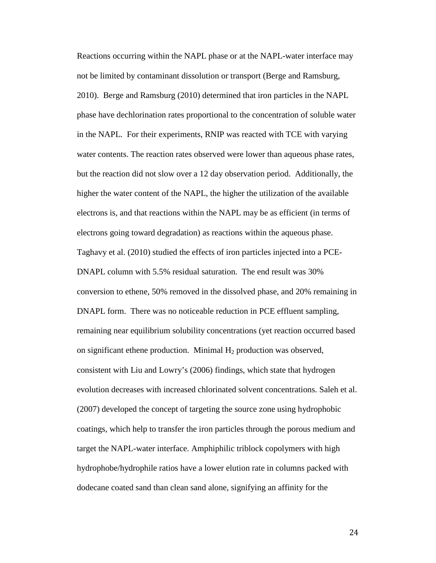Reactions occurring within the NAPL phase or at the NAPL-water interface may not be limited by contaminant dissolution or transport (Berge and Ramsburg, 2010). Berge and Ramsburg (2010) determined that iron particles in the NAPL phase have dechlorination rates proportional to the concentration of soluble water in the NAPL. For their experiments, RNIP was reacted with TCE with varying water contents. The reaction rates observed were lower than aqueous phase rates, but the reaction did not slow over a 12 day observation period. Additionally, the higher the water content of the NAPL, the higher the utilization of the available electrons is, and that reactions within the NAPL may be as efficient (in terms of electrons going toward degradation) as reactions within the aqueous phase. Taghavy et al. (2010) studied the effects of iron particles injected into a PCE-DNAPL column with 5.5% residual saturation. The end result was 30% conversion to ethene, 50% removed in the dissolved phase, and 20% remaining in DNAPL form. There was no noticeable reduction in PCE effluent sampling, remaining near equilibrium solubility concentrations (yet reaction occurred based on significant ethene production. Minimal  $H_2$  production was observed, consistent with Liu and Lowry's (2006) findings, which state that hydrogen evolution decreases with increased chlorinated solvent concentrations. Saleh et al. (2007) developed the concept of targeting the source zone using hydrophobic coatings, which help to transfer the iron particles through the porous medium and target the NAPL-water interface. Amphiphilic triblock copolymers with high hydrophobe/hydrophile ratios have a lower elution rate in columns packed with dodecane coated sand than clean sand alone, signifying an affinity for the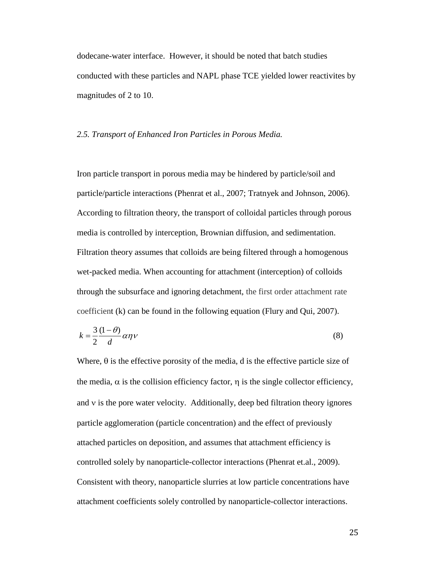dodecane-water interface. However, it should be noted that batch studies conducted with these particles and NAPL phase TCE yielded lower reactivites by magnitudes of 2 to 10.

#### *2.5. Transport of Enhanced Iron Particles in Porous Media.*

Iron particle transport in porous media may be hindered by particle/soil and particle/particle interactions (Phenrat et al., 2007; Tratnyek and Johnson, 2006). According to filtration theory, the transport of colloidal particles through porous media is controlled by interception, Brownian diffusion, and sedimentation. Filtration theory assumes that colloids are being filtered through a homogenous wet-packed media. When accounting for attachment (interception) of colloids through the subsurface and ignoring detachment, the first order attachment rate coefficient (k) can be found in the following equation (Flury and Qui, 2007).

$$
k = \frac{3}{2} \frac{(1 - \theta)}{d} \alpha \eta v \tag{8}
$$

Where,  $\theta$  is the effective porosity of the media, d is the effective particle size of the media,  $\alpha$  is the collision efficiency factor,  $\eta$  is the single collector efficiency, and  $\nu$  is the pore water velocity. Additionally, deep bed filtration theory ignores particle agglomeration (particle concentration) and the effect of previously attached particles on deposition, and assumes that attachment efficiency is controlled solely by nanoparticle-collector interactions (Phenrat et.al., 2009). Consistent with theory, nanoparticle slurries at low particle concentrations have attachment coefficients solely controlled by nanoparticle-collector interactions.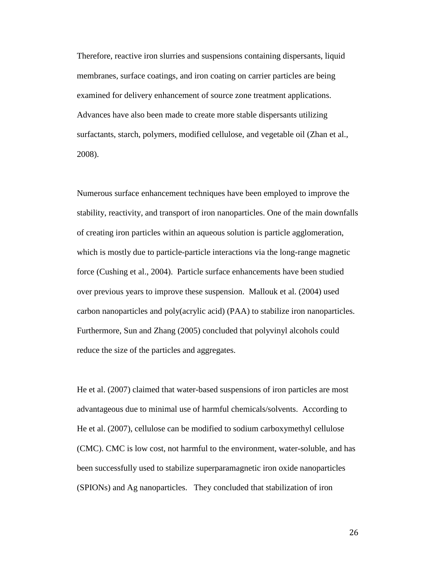Therefore, reactive iron slurries and suspensions containing dispersants, liquid membranes, surface coatings, and iron coating on carrier particles are being examined for delivery enhancement of source zone treatment applications. Advances have also been made to create more stable dispersants utilizing surfactants, starch, polymers, modified cellulose, and vegetable oil (Zhan et al., 2008).

Numerous surface enhancement techniques have been employed to improve the stability, reactivity, and transport of iron nanoparticles. One of the main downfalls of creating iron particles within an aqueous solution is particle agglomeration, which is mostly due to particle-particle interactions via the long-range magnetic force (Cushing et al., 2004). Particle surface enhancements have been studied over previous years to improve these suspension. Mallouk et al. (2004) used carbon nanoparticles and poly(acrylic acid) (PAA) to stabilize iron nanoparticles. Furthermore, Sun and Zhang (2005) concluded that polyvinyl alcohols could reduce the size of the particles and aggregates.

He et al. (2007) claimed that water-based suspensions of iron particles are most advantageous due to minimal use of harmful chemicals/solvents. According to He et al. (2007), cellulose can be modified to sodium carboxymethyl cellulose (CMC). CMC is low cost, not harmful to the environment, water-soluble, and has been successfully used to stabilize superparamagnetic iron oxide nanoparticles (SPIONs) and Ag nanoparticles. They concluded that stabilization of iron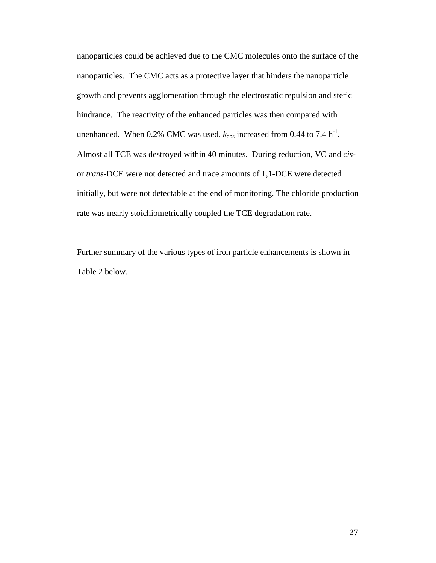nanoparticles could be achieved due to the CMC molecules onto the surface of the nanoparticles. The CMC acts as a protective layer that hinders the nanoparticle growth and prevents agglomeration through the electrostatic repulsion and steric hindrance. The reactivity of the enhanced particles was then compared with unenhanced. When  $0.2\%$  CMC was used,  $k_{obs}$  increased from  $0.44$  to  $7.4 \text{ h}^{-1}$ . Almost all TCE was destroyed within 40 minutes. During reduction, VC and *cis*or *trans*-DCE were not detected and trace amounts of 1,1-DCE were detected initially, but were not detectable at the end of monitoring. The chloride production rate was nearly stoichiometrically coupled the TCE degradation rate.

Further summary of the various types of iron particle enhancements is shown in Table 2 below.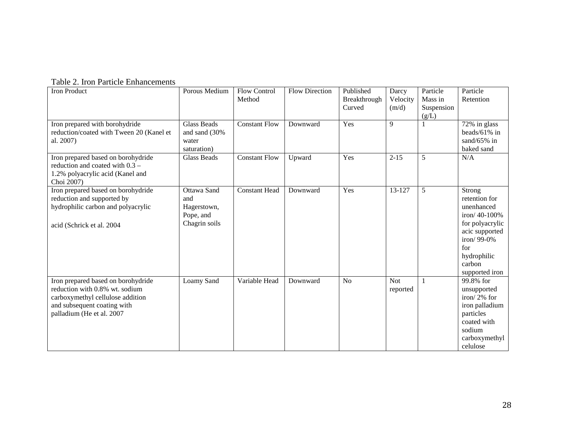|  |  |  | Table 2. Iron Particle Enhancements |
|--|--|--|-------------------------------------|
|--|--|--|-------------------------------------|

| <b>Iron Product</b>                                                                                                                                                  | Porous Medium                                                   | <b>Flow Control</b><br>Method | <b>Flow Direction</b> | Published<br>Breakthrough<br>Curved | Darcy<br>Velocity<br>(m/d) | Particle<br>Mass in<br>Suspension<br>(g/L) | Particle<br>Retention                                                                                                                                             |
|----------------------------------------------------------------------------------------------------------------------------------------------------------------------|-----------------------------------------------------------------|-------------------------------|-----------------------|-------------------------------------|----------------------------|--------------------------------------------|-------------------------------------------------------------------------------------------------------------------------------------------------------------------|
| Iron prepared with borohydride<br>reduction/coated with Tween 20 (Kanel et<br>al. 2007)                                                                              | <b>Glass Beads</b><br>and sand (30%<br>water<br>saturation)     | <b>Constant Flow</b>          | Downward              | Yes                                 | 9                          |                                            | 72% in glass<br>beads/61% in<br>sand/ $65\%$ in<br>baked sand                                                                                                     |
| Iron prepared based on borohydride<br>reduction and coated with $0.3 -$<br>1.2% polyacrylic acid (Kanel and<br>Choi 2007)                                            | Glass Beads                                                     | <b>Constant Flow</b>          | Upward                | Yes                                 | $2 - 15$                   | 5                                          | N/A                                                                                                                                                               |
| Iron prepared based on borohydride<br>reduction and supported by<br>hydrophilic carbon and polyacrylic<br>acid (Schrick et al. 2004)                                 | Ottawa Sand<br>and<br>Hagerstown,<br>Pope, and<br>Chagrin soils | <b>Constant Head</b>          | Downward              | Yes                                 | 13-127                     | 5                                          | Strong<br>retention for<br>unenhanced<br>iron/ $40-100%$<br>for polyacrylic<br>acic supported<br>iron/ $99-0\%$<br>for<br>hydrophilic<br>carbon<br>supported iron |
| Iron prepared based on borohydride<br>reduction with 0.8% wt. sodium<br>carboxymethyl cellulose addition<br>and subsequent coating with<br>palladium (He et al. 2007 | Loamy Sand                                                      | Variable Head                 | Downward              | N <sub>o</sub>                      | <b>Not</b><br>reported     |                                            | 99.8% for<br>unsupported<br>iron/2% for<br>iron palladium<br>particles<br>coated with<br>sodium<br>carboxymethyl<br>celulose                                      |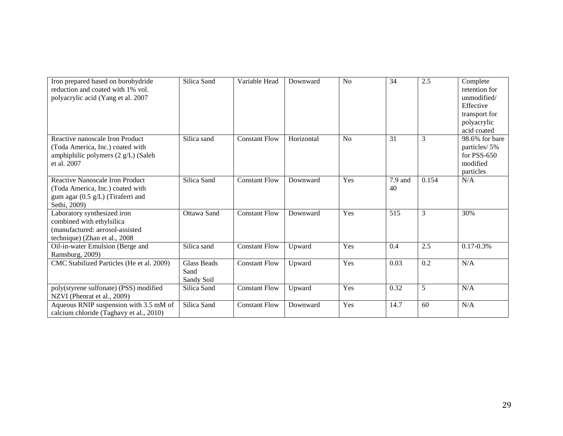| Iron prepared based on borohydride<br>reduction and coated with 1% vol.<br>polyacrylic acid (Yang et al. 2007                 | Silica Sand                              | Variable Head        | Downward   | N <sub>o</sub> | 34            | 2.5   | Complete<br>retention for<br>unmodified/<br>Effective<br>transport for<br>polyacrylic<br>acid coated |
|-------------------------------------------------------------------------------------------------------------------------------|------------------------------------------|----------------------|------------|----------------|---------------|-------|------------------------------------------------------------------------------------------------------|
| Reactive nanoscale Iron Product<br>(Toda America, Inc.) coated with<br>amphiphilic polymers (2 g/L) (Saleh<br>et al. 2007     | Silica sand                              | <b>Constant Flow</b> | Horizontal | N <sub>o</sub> | 31            | 3     | 98.6% for bare<br>particles/5%<br>for PSS-650<br>modified<br>particles                               |
| Reactive Nanoscale Iron Product<br>(Toda America, Inc.) coated with<br>gum agar (0.5 g/L) (Tiraferri and<br>Sethi, 2009)      | Silica Sand                              | <b>Constant Flow</b> | Downward   | Yes            | 7.9 and<br>40 | 0.154 | N/A                                                                                                  |
| Laboratory synthesized iron<br>combined with ethylsilica<br>(manufactured: aerosol-assisted<br>technique) (Zhan et al., 2008) | Ottawa Sand                              | <b>Constant Flow</b> | Downward   | Yes            | 515           | 3     | 30%                                                                                                  |
| Oil-in-water Emulsion (Berge and<br>Ramsburg, 2009)                                                                           | Silica sand                              | <b>Constant Flow</b> | Upward     | Yes            | 0.4           | 2.5   | $0.17 - 0.3\%$                                                                                       |
| CMC Stabilized Particles (He et al. 2009)                                                                                     | <b>Glass Beads</b><br>Sand<br>Sandy Soil | <b>Constant Flow</b> | Upward     | Yes            | 0.03          | 0.2   | N/A                                                                                                  |
| poly(styrene sulfonate) (PSS) modified<br>NZVI (Phenrat et al., 2009)                                                         | Silica Sand                              | <b>Constant Flow</b> | Upward     | Yes            | 0.32          | 5     | N/A                                                                                                  |
| Aqueous RNIP suspension with 3.5 mM of<br>calcium chloride (Taghavy et al., 2010)                                             | Silica Sand                              | <b>Constant Flow</b> | Downward   | Yes            | 14.7          | 60    | N/A                                                                                                  |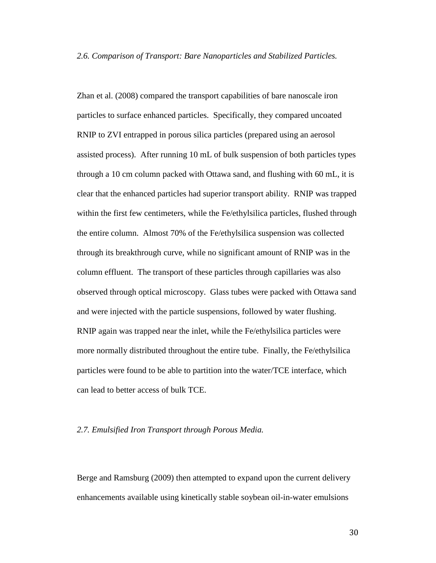#### *2.6. Comparison of Transport: Bare Nanoparticles and Stabilized Particles.*

Zhan et al. (2008) compared the transport capabilities of bare nanoscale iron particles to surface enhanced particles. Specifically, they compared uncoated RNIP to ZVI entrapped in porous silica particles (prepared using an aerosol assisted process). After running 10 mL of bulk suspension of both particles types through a 10 cm column packed with Ottawa sand, and flushing with 60 mL, it is clear that the enhanced particles had superior transport ability. RNIP was trapped within the first few centimeters, while the Fe/ethylsilica particles, flushed through the entire column. Almost 70% of the Fe/ethylsilica suspension was collected through its breakthrough curve, while no significant amount of RNIP was in the column effluent. The transport of these particles through capillaries was also observed through optical microscopy. Glass tubes were packed with Ottawa sand and were injected with the particle suspensions, followed by water flushing. RNIP again was trapped near the inlet, while the Fe/ethylsilica particles were more normally distributed throughout the entire tube. Finally, the Fe/ethylsilica particles were found to be able to partition into the water/TCE interface, which can lead to better access of bulk TCE.

## *2.7. Emulsified Iron Transport through Porous Media.*

Berge and Ramsburg (2009) then attempted to expand upon the current delivery enhancements available using kinetically stable soybean oil-in-water emulsions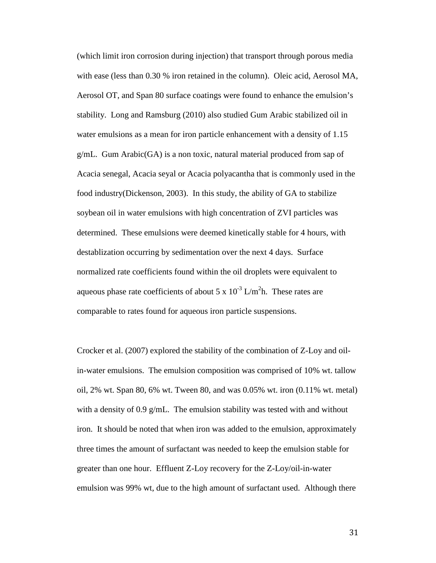(which limit iron corrosion during injection) that transport through porous media with ease (less than 0.30 % iron retained in the column). Oleic acid, Aerosol MA, Aerosol OT, and Span 80 surface coatings were found to enhance the emulsion's stability. Long and Ramsburg (2010) also studied Gum Arabic stabilized oil in water emulsions as a mean for iron particle enhancement with a density of 1.15 g/mL. Gum Arabic(GA) is a non toxic, natural material produced from sap of Acacia senegal, Acacia seyal or Acacia polyacantha that is commonly used in the food industry(Dickenson, 2003). In this study, the ability of GA to stabilize soybean oil in water emulsions with high concentration of ZVI particles was determined. These emulsions were deemed kinetically stable for 4 hours, with destablization occurring by sedimentation over the next 4 days. Surface normalized rate coefficients found within the oil droplets were equivalent to aqueous phase rate coefficients of about 5 x  $10^{-3}$  L/m<sup>2</sup>h. These rates are comparable to rates found for aqueous iron particle suspensions.

Crocker et al. (2007) explored the stability of the combination of Z-Loy and oilin-water emulsions. The emulsion composition was comprised of 10% wt. tallow oil, 2% wt. Span 80, 6% wt. Tween 80, and was 0.05% wt. iron (0.11% wt. metal) with a density of 0.9 g/mL. The emulsion stability was tested with and without iron. It should be noted that when iron was added to the emulsion, approximately three times the amount of surfactant was needed to keep the emulsion stable for greater than one hour. Effluent Z-Loy recovery for the Z-Loy/oil-in-water emulsion was 99% wt, due to the high amount of surfactant used. Although there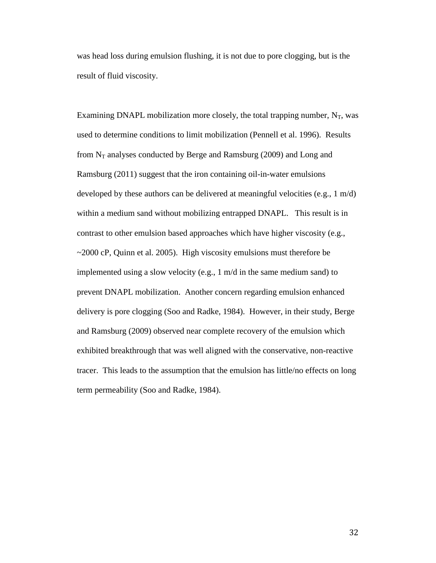was head loss during emulsion flushing, it is not due to pore clogging, but is the result of fluid viscosity.

Examining DNAPL mobilization more closely, the total trapping number,  $N_T$ , was used to determine conditions to limit mobilization (Pennell et al. 1996). Results from  $N_T$  analyses conducted by Berge and Ramsburg (2009) and Long and Ramsburg (2011) suggest that the iron containing oil-in-water emulsions developed by these authors can be delivered at meaningful velocities (e.g., 1 m/d) within a medium sand without mobilizing entrapped DNAPL. This result is in contrast to other emulsion based approaches which have higher viscosity (e.g., ~2000 cP, Quinn et al. 2005). High viscosity emulsions must therefore be implemented using a slow velocity (e.g., 1 m/d in the same medium sand) to prevent DNAPL mobilization. Another concern regarding emulsion enhanced delivery is pore clogging (Soo and Radke, 1984). However, in their study, Berge and Ramsburg (2009) observed near complete recovery of the emulsion which exhibited breakthrough that was well aligned with the conservative, non-reactive tracer. This leads to the assumption that the emulsion has little/no effects on long term permeability (Soo and Radke, 1984).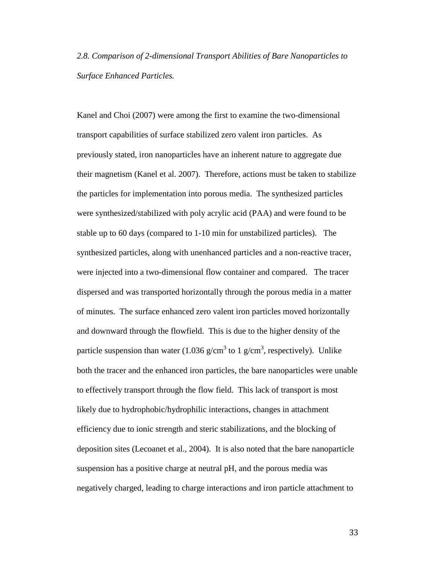*2.8. Comparison of 2-dimensional Transport Abilities of Bare Nanoparticles to Surface Enhanced Particles.*

Kanel and Choi (2007) were among the first to examine the two-dimensional transport capabilities of surface stabilized zero valent iron particles. As previously stated, iron nanoparticles have an inherent nature to aggregate due their magnetism (Kanel et al. 2007). Therefore, actions must be taken to stabilize the particles for implementation into porous media. The synthesized particles were synthesized/stabilized with poly acrylic acid (PAA) and were found to be stable up to 60 days (compared to 1-10 min for unstabilized particles). The synthesized particles, along with unenhanced particles and a non-reactive tracer, were injected into a two-dimensional flow container and compared. The tracer dispersed and was transported horizontally through the porous media in a matter of minutes. The surface enhanced zero valent iron particles moved horizontally and downward through the flowfield. This is due to the higher density of the particle suspension than water (1.036 g/cm<sup>3</sup> to 1 g/cm<sup>3</sup>, respectively). Unlike both the tracer and the enhanced iron particles, the bare nanoparticles were unable to effectively transport through the flow field. This lack of transport is most likely due to hydrophobic/hydrophilic interactions, changes in attachment efficiency due to ionic strength and steric stabilizations, and the blocking of deposition sites (Lecoanet et al., 2004). It is also noted that the bare nanoparticle suspension has a positive charge at neutral pH, and the porous media was negatively charged, leading to charge interactions and iron particle attachment to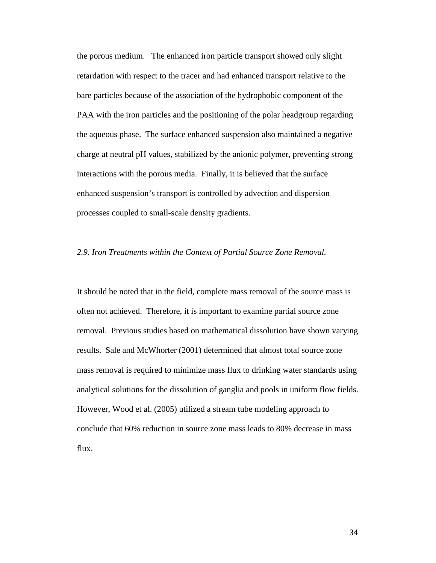the porous medium. The enhanced iron particle transport showed only slight retardation with respect to the tracer and had enhanced transport relative to the bare particles because of the association of the hydrophobic component of the PAA with the iron particles and the positioning of the polar headgroup regarding the aqueous phase. The surface enhanced suspension also maintained a negative charge at neutral pH values, stabilized by the anionic polymer, preventing strong interactions with the porous media. Finally, it is believed that the surface enhanced suspension's transport is controlled by advection and dispersion processes coupled to small-scale density gradients.

#### *2.9. Iron Treatments within the Context of Partial Source Zone Removal.*

It should be noted that in the field, complete mass removal of the source mass is often not achieved. Therefore, it is important to examine partial source zone removal. Previous studies based on mathematical dissolution have shown varying results. Sale and McWhorter (2001) determined that almost total source zone mass removal is required to minimize mass flux to drinking water standards using analytical solutions for the dissolution of ganglia and pools in uniform flow fields. However, Wood et al. (2005) utilized a stream tube modeling approach to conclude that 60% reduction in source zone mass leads to 80% decrease in mass flux.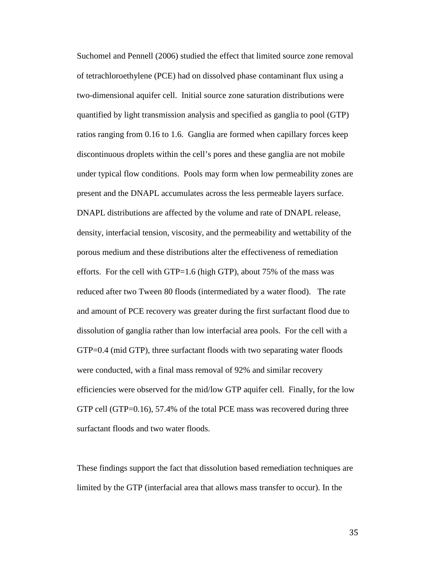Suchomel and Pennell (2006) studied the effect that limited source zone removal of tetrachloroethylene (PCE) had on dissolved phase contaminant flux using a two-dimensional aquifer cell. Initial source zone saturation distributions were quantified by light transmission analysis and specified as ganglia to pool (GTP) ratios ranging from 0.16 to 1.6. Ganglia are formed when capillary forces keep discontinuous droplets within the cell's pores and these ganglia are not mobile under typical flow conditions. Pools may form when low permeability zones are present and the DNAPL accumulates across the less permeable layers surface. DNAPL distributions are affected by the volume and rate of DNAPL release, density, interfacial tension, viscosity, and the permeability and wettability of the porous medium and these distributions alter the effectiveness of remediation efforts. For the cell with GTP=1.6 (high GTP), about  $75\%$  of the mass was reduced after two Tween 80 floods (intermediated by a water flood). The rate and amount of PCE recovery was greater during the first surfactant flood due to dissolution of ganglia rather than low interfacial area pools. For the cell with a GTP=0.4 (mid GTP), three surfactant floods with two separating water floods were conducted, with a final mass removal of 92% and similar recovery efficiencies were observed for the mid/low GTP aquifer cell. Finally, for the low GTP cell (GTP=0.16), 57.4% of the total PCE mass was recovered during three surfactant floods and two water floods.

These findings support the fact that dissolution based remediation techniques are limited by the GTP (interfacial area that allows mass transfer to occur). In the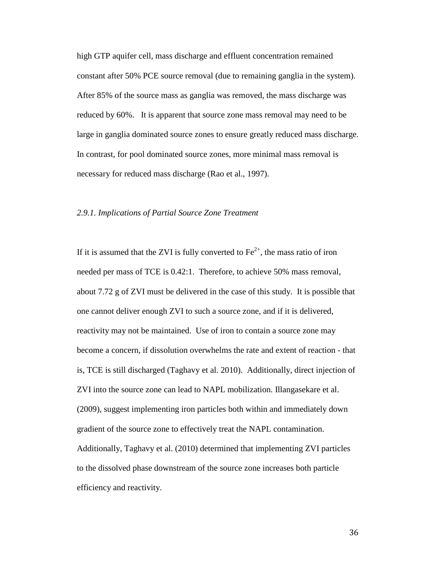high GTP aquifer cell, mass discharge and effluent concentration remained constant after 50% PCE source removal (due to remaining ganglia in the system). After 85% of the source mass as ganglia was removed, the mass discharge was reduced by 60%. It is apparent that source zone mass removal may need to be large in ganglia dominated source zones to ensure greatly reduced mass discharge. In contrast, for pool dominated source zones, more minimal mass removal is necessary for reduced mass discharge (Rao et al., 1997).

### *2.9.1. Implications of Partial Source Zone Treatment*

If it is assumed that the ZVI is fully converted to  $Fe^{2+}$ , the mass ratio of iron needed per mass of TCE is 0.42:1. Therefore, to achieve 50% mass removal, about 7.72 g of ZVI must be delivered in the case of this study. It is possible that one cannot deliver enough ZVI to such a source zone, and if it is delivered, reactivity may not be maintained. Use of iron to contain a source zone may become a concern, if dissolution overwhelms the rate and extent of reaction - that is, TCE is still discharged (Taghavy et al. 2010). Additionally, direct injection of ZVI into the source zone can lead to NAPL mobilization. Illangasekare et al. (2009), suggest implementing iron particles both within and immediately down gradient of the source zone to effectively treat the NAPL contamination. Additionally, Taghavy et al. (2010) determined that implementing ZVI particles to the dissolved phase downstream of the source zone increases both particle efficiency and reactivity.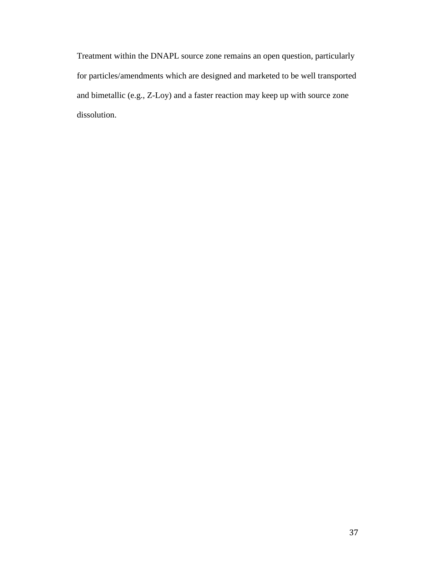Treatment within the DNAPL source zone remains an open question, particularly for particles/amendments which are designed and marketed to be well transported and bimetallic (e.g., Z-Loy) and a faster reaction may keep up with source zone dissolution.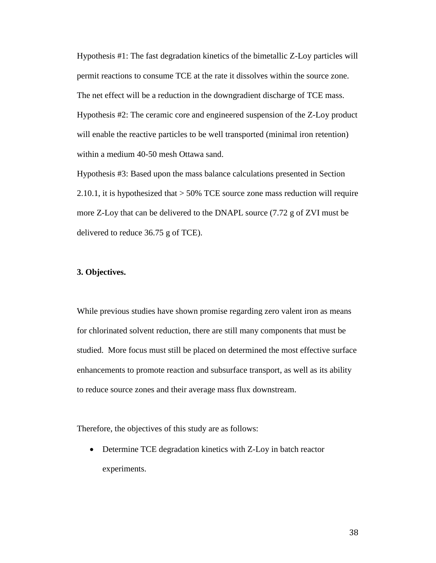Hypothesis #1: The fast degradation kinetics of the bimetallic Z-Loy particles will permit reactions to consume TCE at the rate it dissolves within the source zone. The net effect will be a reduction in the downgradient discharge of TCE mass. Hypothesis #2: The ceramic core and engineered suspension of the Z-Loy product will enable the reactive particles to be well transported (minimal iron retention) within a medium 40-50 mesh Ottawa sand.

Hypothesis #3: Based upon the mass balance calculations presented in Section 2.10.1, it is hypothesized that > 50% TCE source zone mass reduction will require more Z-Loy that can be delivered to the DNAPL source (7.72 g of ZVI must be delivered to reduce 36.75 g of TCE).

#### **3. Objectives.**

While previous studies have shown promise regarding zero valent iron as means for chlorinated solvent reduction, there are still many components that must be studied. More focus must still be placed on determined the most effective surface enhancements to promote reaction and subsurface transport, as well as its ability to reduce source zones and their average mass flux downstream.

Therefore, the objectives of this study are as follows:

• Determine TCE degradation kinetics with Z-Loy in batch reactor experiments.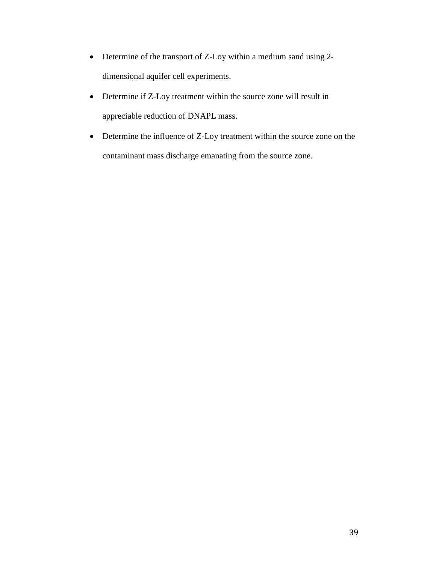- Determine of the transport of Z-Loy within a medium sand using 2 dimensional aquifer cell experiments.
- Determine if Z-Loy treatment within the source zone will result in appreciable reduction of DNAPL mass.
- Determine the influence of Z-Loy treatment within the source zone on the contaminant mass discharge emanating from the source zone.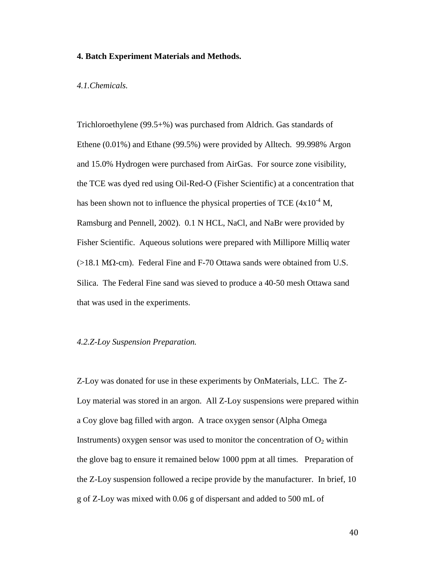## **4. Batch Experiment Materials and Methods.**

#### *4.1.Chemicals.*

Trichloroethylene (99.5+%) was purchased from Aldrich. Gas standards of Ethene (0.01%) and Ethane (99.5%) were provided by Alltech. 99.998% Argon and 15.0% Hydrogen were purchased from AirGas. For source zone visibility, the TCE was dyed red using Oil-Red-O (Fisher Scientific) at a concentration that has been shown not to influence the physical properties of TCE  $(4x10^{-4})$  M, Ramsburg and Pennell, 2002). 0.1 N HCL, NaCl, and NaBr were provided by Fisher Scientific. Aqueous solutions were prepared with Millipore Milliq water  $(>18.1 \text{ M}\Omega\text{-cm})$ . Federal Fine and F-70 Ottawa sands were obtained from U.S. Silica. The Federal Fine sand was sieved to produce a 40-50 mesh Ottawa sand that was used in the experiments.

#### *4.2.Z-Loy Suspension Preparation.*

Z-Loy was donated for use in these experiments by OnMaterials, LLC. The Z-Loy material was stored in an argon. All Z-Loy suspensions were prepared within a Coy glove bag filled with argon. A trace oxygen sensor (Alpha Omega Instruments) oxygen sensor was used to monitor the concentration of  $O_2$  within the glove bag to ensure it remained below 1000 ppm at all times. Preparation of the Z-Loy suspension followed a recipe provide by the manufacturer. In brief, 10 g of Z-Loy was mixed with 0.06 g of dispersant and added to 500 mL of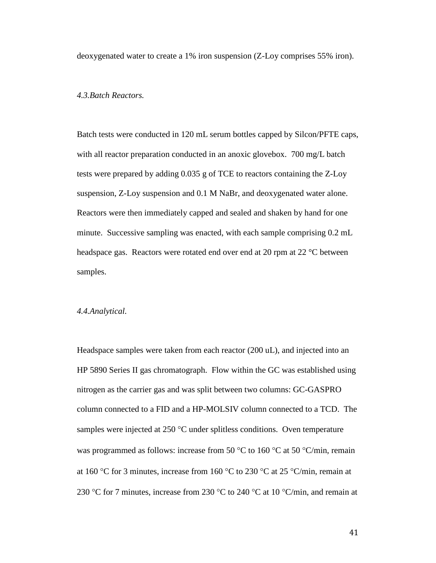deoxygenated water to create a 1% iron suspension (Z-Loy comprises 55% iron).

## *4.3.Batch Reactors.*

Batch tests were conducted in 120 mL serum bottles capped by Silcon/PFTE caps, with all reactor preparation conducted in an anoxic glovebox. 700 mg/L batch tests were prepared by adding 0.035 g of TCE to reactors containing the Z-Loy suspension, Z-Loy suspension and 0.1 M NaBr, and deoxygenated water alone. Reactors were then immediately capped and sealed and shaken by hand for one minute. Successive sampling was enacted, with each sample comprising 0.2 mL headspace gas. Reactors were rotated end over end at 20 rpm at 22 °C between samples.

#### *4.4.Analytical.*

Headspace samples were taken from each reactor (200 uL), and injected into an HP 5890 Series II gas chromatograph. Flow within the GC was established using nitrogen as the carrier gas and was split between two columns: GC-GASPRO column connected to a FID and a HP-MOLSIV column connected to a TCD. The samples were injected at 250 °C under splitless conditions. Oven temperature was programmed as follows: increase from 50  $\degree$ C to 160  $\degree$ C at 50  $\degree$ C/min, remain at 160 °C for 3 minutes, increase from 160 °C to 230 °C at 25 °C/min, remain at 230 °C for 7 minutes, increase from 230 °C to 240 °C at 10 °C/min, and remain at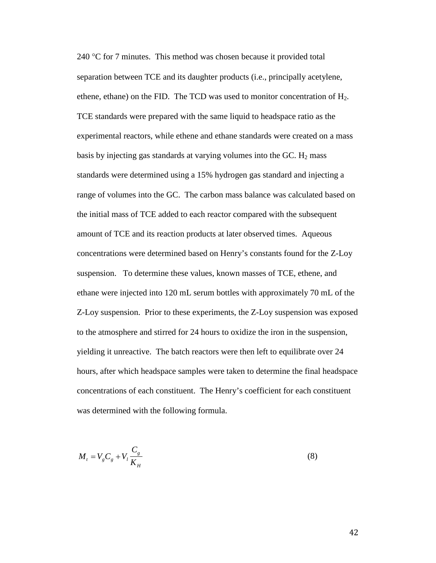240 °C for 7 minutes. This method was chosen because it provided total separation between TCE and its daughter products (i.e., principally acetylene, ethene, ethane) on the FID. The TCD was used to monitor concentration of  $H_2$ . TCE standards were prepared with the same liquid to headspace ratio as the experimental reactors, while ethene and ethane standards were created on a mass basis by injecting gas standards at varying volumes into the GC.  $H_2$  mass standards were determined using a 15% hydrogen gas standard and injecting a range of volumes into the GC. The carbon mass balance was calculated based on the initial mass of TCE added to each reactor compared with the subsequent amount of TCE and its reaction products at later observed times. Aqueous concentrations were determined based on Henry's constants found for the Z-Loy suspension. To determine these values, known masses of TCE, ethene, and ethane were injected into 120 mL serum bottles with approximately 70 mL of the Z-Loy suspension. Prior to these experiments, the Z-Loy suspension was exposed to the atmosphere and stirred for 24 hours to oxidize the iron in the suspension, yielding it unreactive. The batch reactors were then left to equilibrate over 24 hours, after which headspace samples were taken to determine the final headspace concentrations of each constituent. The Henry's coefficient for each constituent was determined with the following formula.

$$
M_t = V_g C_g + V_l \frac{C_g}{K_H} \tag{8}
$$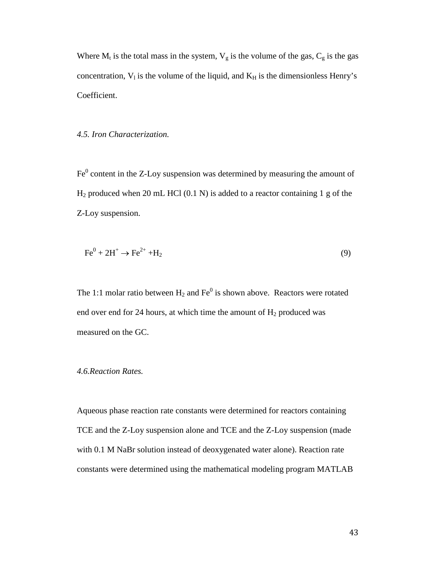Where  $M_t$  is the total mass in the system,  $V_g$  is the volume of the gas,  $C_g$  is the gas concentration,  $V_1$  is the volume of the liquid, and  $K_H$  is the dimensionless Henry's Coefficient.

### *4.5. Iron Characterization.*

 $Fe<sup>0</sup>$  content in the Z-Loy suspension was determined by measuring the amount of  $H_2$  produced when 20 mL HCl (0.1 N) is added to a reactor containing 1 g of the Z-Loy suspension.

$$
\text{Fe}^0 + 2\text{H}^+ \rightarrow \text{Fe}^{2+} + \text{H}_2 \tag{9}
$$

The 1:1 molar ratio between  $H_2$  and  $Fe^0$  is shown above. Reactors were rotated end over end for 24 hours, at which time the amount of  $H_2$  produced was measured on the GC.

### *4.6.Reaction Rates.*

Aqueous phase reaction rate constants were determined for reactors containing TCE and the Z-Loy suspension alone and TCE and the Z-Loy suspension (made with 0.1 M NaBr solution instead of deoxygenated water alone). Reaction rate constants were determined using the mathematical modeling program MATLAB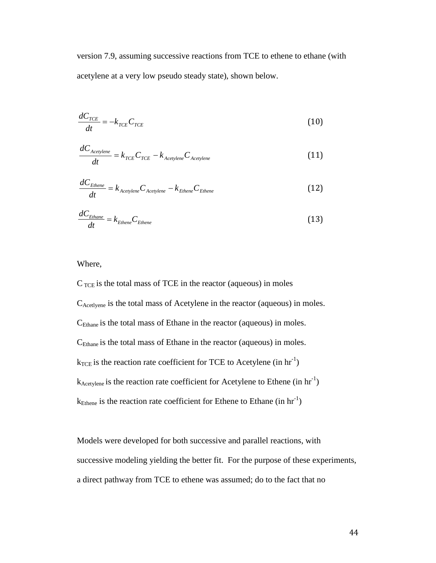version 7.9, assuming successive reactions from TCE to ethene to ethane (with acetylene at a very low pseudo steady state), shown below.

$$
\frac{dC_{TCE}}{dt} = -k_{TCE}C_{TCE} \tag{10}
$$

$$
\frac{dC_{\text{Acetylene}}}{dt} = k_{\text{TCE}} C_{\text{TCE}} - k_{\text{Acetylene}} C_{\text{Acetylene}}
$$
(11)

$$
\frac{dC_{Ethene}}{dt} = k_{Acetylene} C_{Acetylene} - k_{Ethene} C_{Ethene}
$$
 (12)

$$
\frac{dC_{Ethane}}{dt} = k_{Ethene} C_{Ethene}
$$
 (13)

Where,

 $C_{\text{TCE}}$  is the total mass of TCE in the reactor (aqueous) in moles CAcetlyene is the total mass of Acetylene in the reactor (aqueous) in moles.  $C_{\text{Ethane}}$  is the total mass of Ethane in the reactor (aqueous) in moles. CEthane is the total mass of Ethane in the reactor (aqueous) in moles.  $k_{\text{TCE}}$  is the reaction rate coefficient for TCE to Acetylene (in hr<sup>-1</sup>)  $k_{\text{Acetylene}}$  is the reaction rate coefficient for Acetylene to Ethene (in hr<sup>-1</sup>)  $k_{\text{Ethene}}$  is the reaction rate coefficient for Ethene to Ethane (in hr<sup>-1</sup>)

Models were developed for both successive and parallel reactions, with successive modeling yielding the better fit. For the purpose of these experiments, a direct pathway from TCE to ethene was assumed; do to the fact that no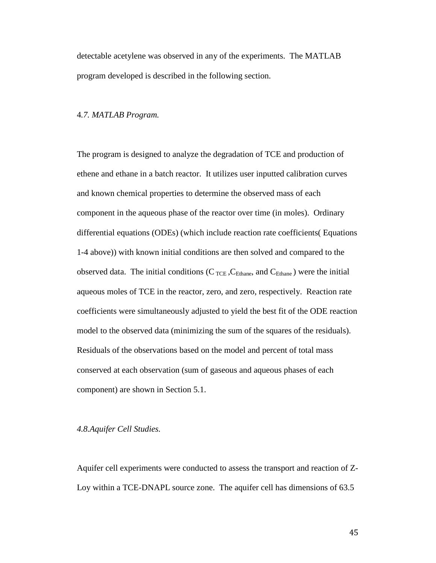detectable acetylene was observed in any of the experiments. The MATLAB program developed is described in the following section.

#### 4*.7. MATLAB Program.*

The program is designed to analyze the degradation of TCE and production of ethene and ethane in a batch reactor. It utilizes user inputted calibration curves and known chemical properties to determine the observed mass of each component in the aqueous phase of the reactor over time (in moles). Ordinary differential equations (ODEs) (which include reaction rate coefficients( Equations 1-4 above)) with known initial conditions are then solved and compared to the observed data. The initial conditions ( $C_{\text{TCE}}$ ,  $C_{\text{Ethane}}$ , and  $C_{\text{Ethane}}$ ) were the initial aqueous moles of TCE in the reactor, zero, and zero, respectively. Reaction rate coefficients were simultaneously adjusted to yield the best fit of the ODE reaction model to the observed data (minimizing the sum of the squares of the residuals). Residuals of the observations based on the model and percent of total mass conserved at each observation (sum of gaseous and aqueous phases of each component) are shown in Section 5.1.

#### *4.8.Aquifer Cell Studies.*

Aquifer cell experiments were conducted to assess the transport and reaction of Z-Loy within a TCE-DNAPL source zone. The aquifer cell has dimensions of 63.5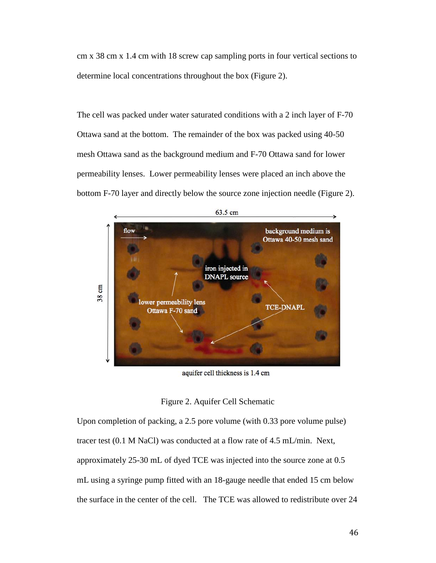cm x 38 cm x 1.4 cm with 18 screw cap sampling ports in four vertical sections to determine local concentrations throughout the box (Figure 2).

The cell was packed under water saturated conditions with a 2 inch layer of F-70 Ottawa sand at the bottom. The remainder of the box was packed using 40-50 mesh Ottawa sand as the background medium and F-70 Ottawa sand for lower permeability lenses. Lower permeability lenses were placed an inch above the bottom F-70 layer and directly below the source zone injection needle (Figure 2).



aquifer cell thickness is 1.4 cm

## Figure 2. Aquifer Cell Schematic

Upon completion of packing, a 2.5 pore volume (with 0.33 pore volume pulse) tracer test (0.1 M NaCl) was conducted at a flow rate of 4.5 mL/min. Next, approximately 25-30 mL of dyed TCE was injected into the source zone at 0.5 mL using a syringe pump fitted with an 18-gauge needle that ended 15 cm below the surface in the center of the cell. The TCE was allowed to redistribute over 24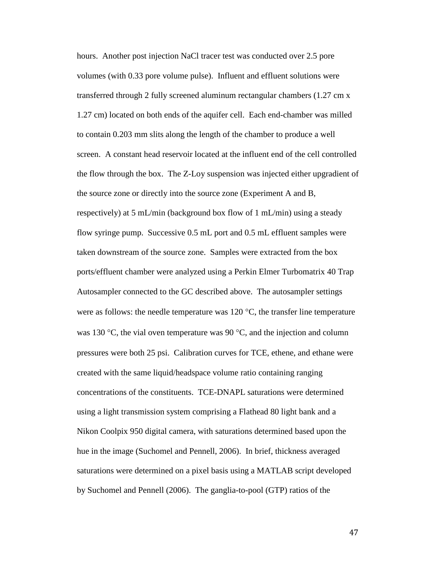hours. Another post injection NaCl tracer test was conducted over 2.5 pore volumes (with 0.33 pore volume pulse). Influent and effluent solutions were transferred through 2 fully screened aluminum rectangular chambers (1.27 cm x 1.27 cm) located on both ends of the aquifer cell. Each end-chamber was milled to contain 0.203 mm slits along the length of the chamber to produce a well screen. A constant head reservoir located at the influent end of the cell controlled the flow through the box. The Z-Loy suspension was injected either upgradient of the source zone or directly into the source zone (Experiment A and B, respectively) at 5 mL/min (background box flow of 1 mL/min) using a steady flow syringe pump. Successive 0.5 mL port and 0.5 mL effluent samples were taken downstream of the source zone. Samples were extracted from the box ports/effluent chamber were analyzed using a Perkin Elmer Turbomatrix 40 Trap Autosampler connected to the GC described above. The autosampler settings were as follows: the needle temperature was  $120^{\circ}$ C, the transfer line temperature was 130  $\degree$ C, the vial oven temperature was 90  $\degree$ C, and the injection and column pressures were both 25 psi. Calibration curves for TCE, ethene, and ethane were created with the same liquid/headspace volume ratio containing ranging concentrations of the constituents. TCE-DNAPL saturations were determined using a light transmission system comprising a Flathead 80 light bank and a Nikon Coolpix 950 digital camera, with saturations determined based upon the hue in the image (Suchomel and Pennell, 2006). In brief, thickness averaged saturations were determined on a pixel basis using a MATLAB script developed by Suchomel and Pennell (2006). The ganglia-to-pool (GTP) ratios of the

47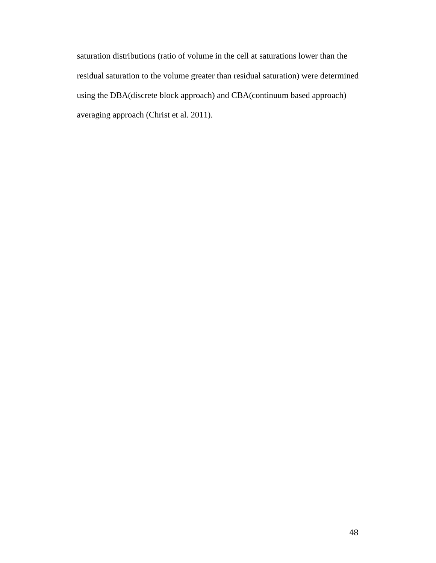saturation distributions (ratio of volume in the cell at saturations lower than the residual saturation to the volume greater than residual saturation) were determined using the DBA(discrete block approach) and CBA(continuum based approach) averaging approach (Christ et al. 2011).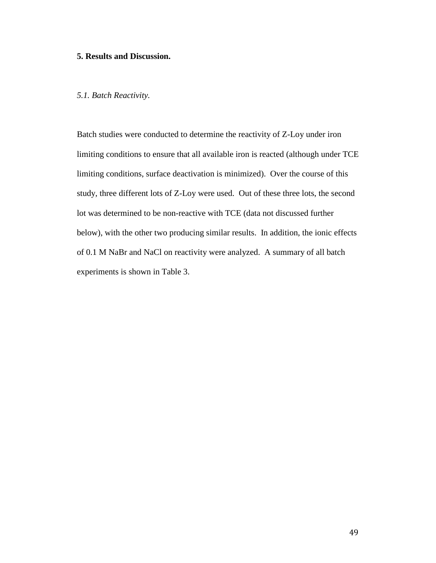## **5. Results and Discussion.**

## *5.1. Batch Reactivity.*

Batch studies were conducted to determine the reactivity of Z-Loy under iron limiting conditions to ensure that all available iron is reacted (although under TCE limiting conditions, surface deactivation is minimized). Over the course of this study, three different lots of Z-Loy were used. Out of these three lots, the second lot was determined to be non-reactive with TCE (data not discussed further below), with the other two producing similar results. In addition, the ionic effects of 0.1 M NaBr and NaCl on reactivity were analyzed. A summary of all batch experiments is shown in Table 3.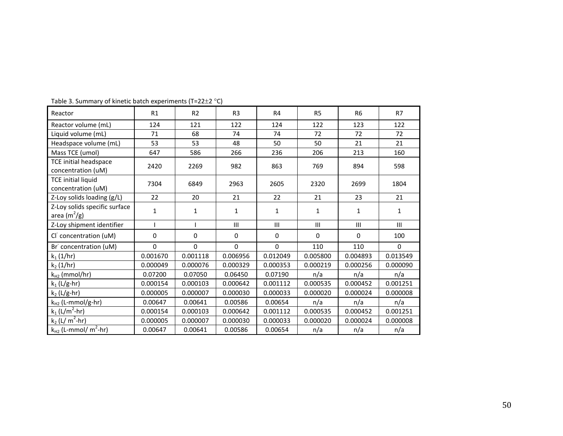| Reactor                                                   | R1       | R <sub>2</sub> | R <sub>3</sub> | R <sub>4</sub> | R <sub>5</sub> | R <sub>6</sub> | R7       |
|-----------------------------------------------------------|----------|----------------|----------------|----------------|----------------|----------------|----------|
| Reactor volume (mL)                                       | 124      | 121            | 122            | 124            | 122            | 123            | 122      |
| Liquid volume (mL)                                        | 71       | 68             | 74             | 74             | 72             | 72             | 72       |
| Headspace volume (mL)                                     | 53       | 53             | 48             | 50             | 50             | 21             | 21       |
| Mass TCE (umol)                                           | 647      | 586            | 266            | 236            | 206            | 213            | 160      |
| <b>TCE initial headspace</b>                              | 2420     | 2269           | 982            | 863            | 769            | 894            | 598      |
| concentration (uM)                                        |          |                |                |                |                |                |          |
| <b>TCE initial liquid</b><br>concentration (uM)           | 7304     | 6849           | 2963           | 2605           | 2320           | 2699           | 1804     |
| Z-Loy solids loading (g/L)                                | 22       | 20             | 21             | 22             | 21             | 23             | 21       |
| Z-Loy solids specific surface<br>area (m <sup>2</sup> /g) | 1        | 1              | $\mathbf{1}$   | $\mathbf{1}$   | 1              | 1              | 1        |
| Z-Loy shipment identifier                                 |          |                | III            | III            | III            | III            | III      |
| Cl concentration (uM)                                     | $\Omega$ | 0              | $\Omega$       | $\mathbf{0}$   | $\Omega$       | $\Omega$       | 100      |
| Br concentration (uM)                                     | $\Omega$ | $\Omega$       | $\Omega$       | $\mathbf 0$    | 110            | 110            | $\Omega$ |
| $k_1(1/hr)$                                               | 0.001670 | 0.001118       | 0.006956       | 0.012049       | 0.005800       | 0.004893       | 0.013549 |
| $k_2$ (1/hr)                                              | 0.000049 | 0.000076       | 0.000329       | 0.000353       | 0.000219       | 0.000256       | 0.000090 |
| $k_{H2}$ (mmol/hr)                                        | 0.07200  | 0.07050        | 0.06450        | 0.07190        | n/a            | n/a            | n/a      |
| $k_1$ (L/g-hr)                                            | 0.000154 | 0.000103       | 0.000642       | 0.001112       | 0.000535       | 0.000452       | 0.001251 |
| $k_2$ (L/g-hr)                                            | 0.000005 | 0.000007       | 0.000030       | 0.000033       | 0.000020       | 0.000024       | 0.000008 |
| k <sub>H2</sub> (L-mmol/g-hr)                             | 0.00647  | 0.00641        | 0.00586        | 0.00654        | n/a            | n/a            | n/a      |
| $k_1$ (L/m <sup>2</sup> -hr)                              | 0.000154 | 0.000103       | 0.000642       | 0.001112       | 0.000535       | 0.000452       | 0.001251 |
| $k_2$ (L/ m <sup>2</sup> -hr)                             | 0.000005 | 0.000007       | 0.000030       | 0.000033       | 0.000020       | 0.000024       | 0.000008 |
| $k_{H2}$ (L-mmol/m <sup>2</sup> -hr)                      | 0.00647  | 0.00641        | 0.00586        | 0.00654        | n/a            | n/a            | n/a      |

Table 3. Summary of kinetic batch experiments (T=22±2 °C)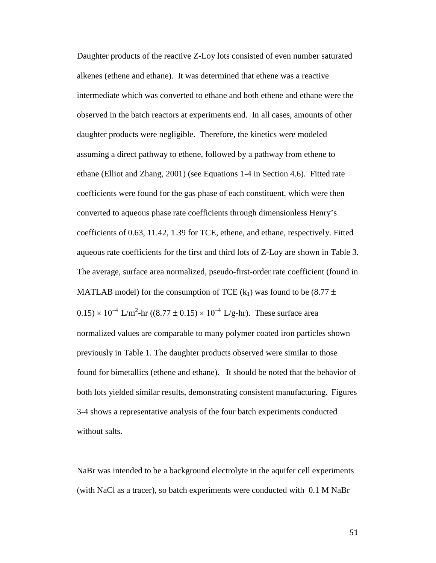Daughter products of the reactive Z-Loy lots consisted of even number saturated alkenes (ethene and ethane). It was determined that ethene was a reactive intermediate which was converted to ethane and both ethene and ethane were the observed in the batch reactors at experiments end. In all cases, amounts of other daughter products were negligible. Therefore, the kinetics were modeled assuming a direct pathway to ethene, followed by a pathway from ethene to ethane (Elliot and Zhang, 2001) (see Equations 1-4 in Section 4.6). Fitted rate coefficients were found for the gas phase of each constituent, which were then converted to aqueous phase rate coefficients through dimensionless Henry's coefficients of 0.63, 11.42, 1.39 for TCE, ethene, and ethane, respectively. Fitted aqueous rate coefficients for the first and third lots of Z-Loy are shown in Table 3. The average, surface area normalized, pseudo-first-order rate coefficient (found in MATLAB model) for the consumption of TCE  $(k_1)$  was found to be (8.77  $\pm$  $0.15 \times 10^{-4}$  L/m<sup>2</sup>-hr ((8.77 ± 0.15) × 10<sup>-4</sup> L/g-hr). These surface area normalized values are comparable to many polymer coated iron particles shown previously in Table 1. The daughter products observed were similar to those found for bimetallics (ethene and ethane). It should be noted that the behavior of both lots yielded similar results, demonstrating consistent manufacturing. Figures 3-4 shows a representative analysis of the four batch experiments conducted without salts.

NaBr was intended to be a background electrolyte in the aquifer cell experiments (with NaCl as a tracer), so batch experiments were conducted with 0.1 M NaBr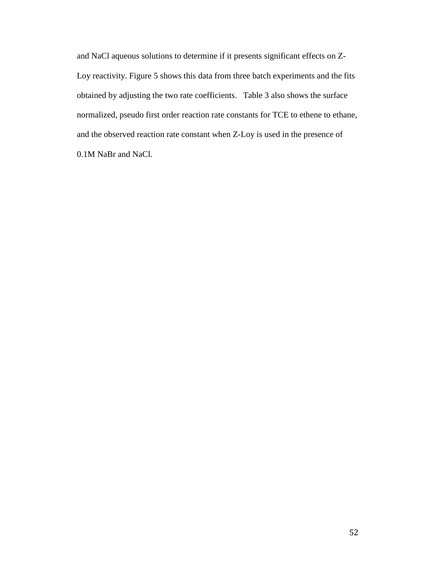and NaCl aqueous solutions to determine if it presents significant effects on Z-Loy reactivity. Figure 5 shows this data from three batch experiments and the fits obtained by adjusting the two rate coefficients. Table 3 also shows the surface normalized, pseudo first order reaction rate constants for TCE to ethene to ethane, and the observed reaction rate constant when Z-Loy is used in the presence of 0.1M NaBr and NaCl.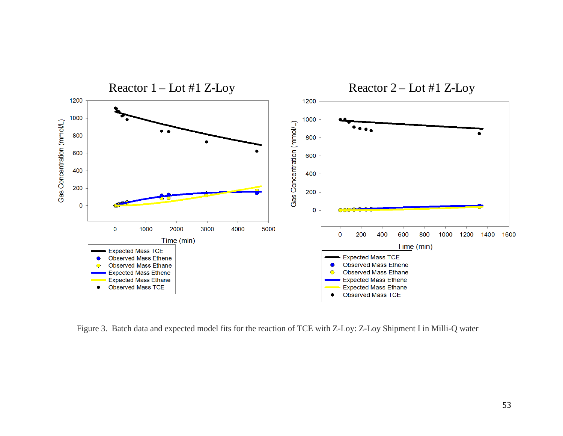

Figure 3. Batch data and expected model fits for the reaction of TCE with Z-Loy: Z-Loy Shipment I in Milli-Q water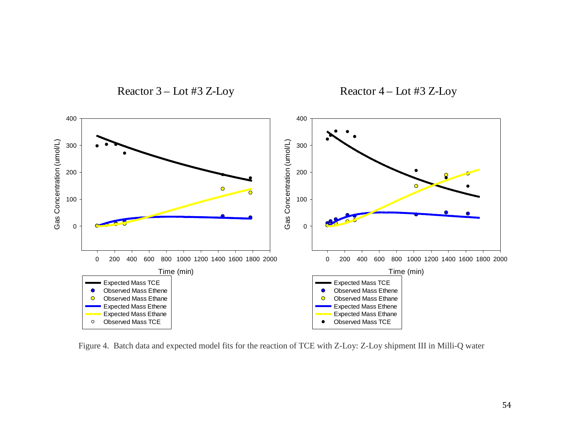

Figure 4. Batch data and expected model fits for the reaction of TCE with Z-Loy: Z-Loy shipment III in Milli-Q water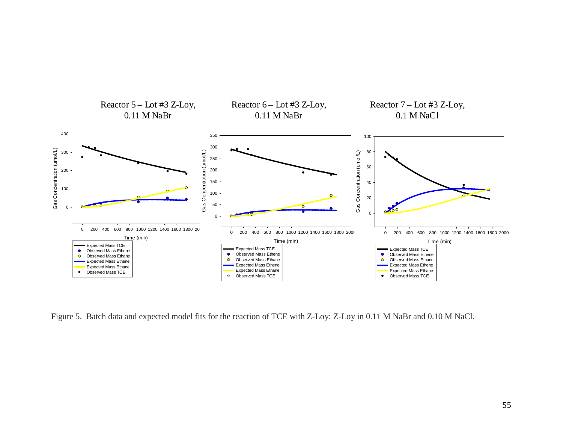

Figure 5. Batch data and expected model fits for the reaction of TCE with Z-Loy: Z-Loy in 0.11 M NaBr and 0.10 M NaCl.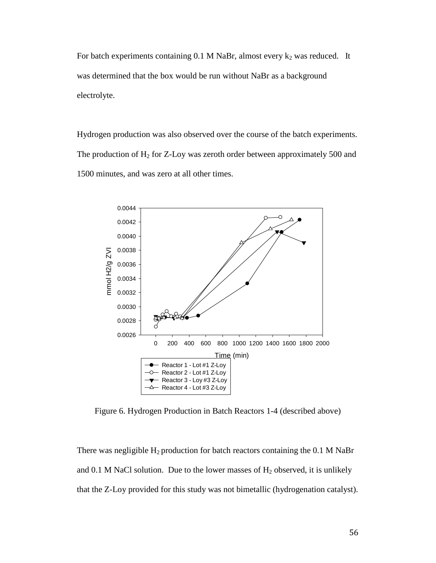For batch experiments containing  $0.1$  M NaBr, almost every  $k_2$  was reduced. It was determined that the box would be run without NaBr as a background electrolyte.

Hydrogen production was also observed over the course of the batch experiments. The production of  $H_2$  for Z-Loy was zeroth order between approximately 500 and 1500 minutes, and was zero at all other times.



Figure 6. Hydrogen Production in Batch Reactors 1-4 (described above)

There was negligible  $H_2$  production for batch reactors containing the 0.1 M NaBr and 0.1 M NaCl solution. Due to the lower masses of  $H_2$  observed, it is unlikely that the Z-Loy provided for this study was not bimetallic (hydrogenation catalyst).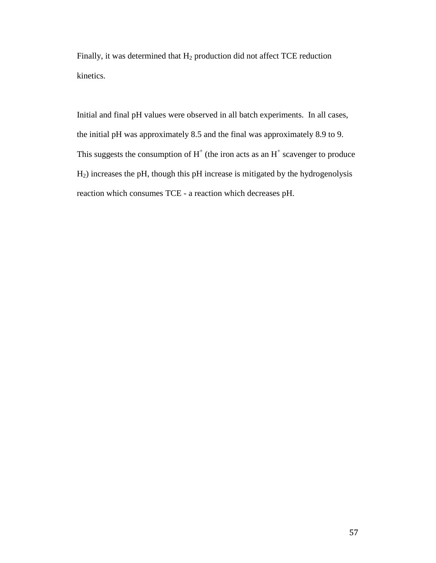Finally, it was determined that  $H_2$  production did not affect TCE reduction kinetics.

Initial and final pH values were observed in all batch experiments. In all cases, the initial pH was approximately 8.5 and the final was approximately 8.9 to 9. This suggests the consumption of  $H^+$  (the iron acts as an  $H^+$  scavenger to produce H2) increases the pH, though this pH increase is mitigated by the hydrogenolysis reaction which consumes TCE - a reaction which decreases pH.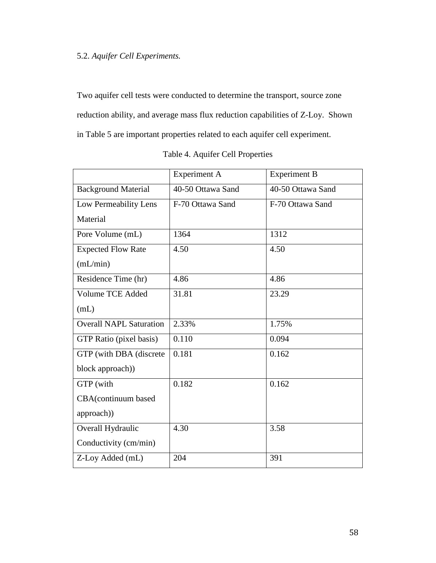# 5.2. *Aquifer Cell Experiments.*

Two aquifer cell tests were conducted to determine the transport, source zone reduction ability, and average mass flux reduction capabilities of Z-Loy. Shown in Table 5 are important properties related to each aquifer cell experiment.

|                                | <b>Experiment A</b> | <b>Experiment B</b> |  |
|--------------------------------|---------------------|---------------------|--|
| <b>Background Material</b>     | 40-50 Ottawa Sand   | 40-50 Ottawa Sand   |  |
| Low Permeability Lens          | F-70 Ottawa Sand    | F-70 Ottawa Sand    |  |
| Material                       |                     |                     |  |
| Pore Volume (mL)               | 1364                | 1312                |  |
| <b>Expected Flow Rate</b>      | 4.50                | 4.50                |  |
| (mL/min)                       |                     |                     |  |
| Residence Time (hr)            | 4.86                | 4.86                |  |
| <b>Volume TCE Added</b>        | 31.81               | 23.29               |  |
| (mL)                           |                     |                     |  |
| <b>Overall NAPL Saturation</b> | 2.33%               | 1.75%               |  |
| GTP Ratio (pixel basis)        | 0.110               | 0.094               |  |
| GTP (with DBA (discrete        | 0.181               | 0.162               |  |
| block approach))               |                     |                     |  |
| GTP (with                      | 0.182               | 0.162               |  |
| CBA(continuum based            |                     |                     |  |
| approach))                     |                     |                     |  |
| Overall Hydraulic              | 4.30                | 3.58                |  |
| Conductivity (cm/min)          |                     |                     |  |
| Z-Loy Added (mL)               | 204                 | 391                 |  |

|  |  |  | Table 4. Aquifer Cell Properties |
|--|--|--|----------------------------------|
|--|--|--|----------------------------------|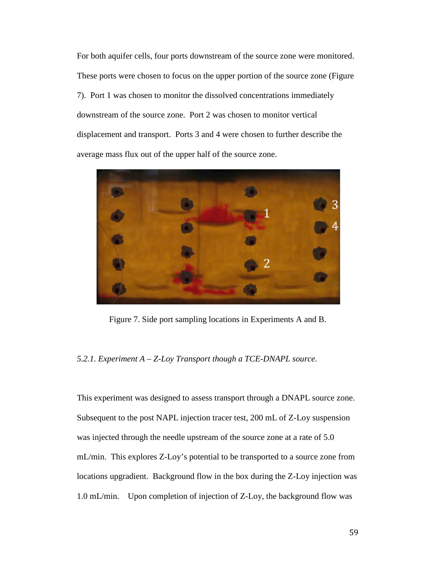For both aquifer cells, four ports downstream of the source zone were monitored. These ports were chosen to focus on the upper portion of the source zone (Figure 7). Port 1 was chosen to monitor the dissolved concentrations immediately downstream of the source zone. Port 2 was chosen to monitor vertical displacement and transport. Ports 3 and 4 were chosen to further describe the average mass flux out of the upper half of the source zone.



Figure 7. Side port sampling locations in Experiments A and B.

#### *5.2.1. Experiment A – Z-Loy Transport though a TCE-DNAPL source.*

This experiment was designed to assess transport through a DNAPL source zone. Subsequent to the post NAPL injection tracer test, 200 mL of Z-Loy suspension was injected through the needle upstream of the source zone at a rate of 5.0 mL/min. This explores Z-Loy's potential to be transported to a source zone from locations upgradient. Background flow in the box during the Z-Loy injection was 1.0 mL/min. Upon completion of injection of Z-Loy, the background flow was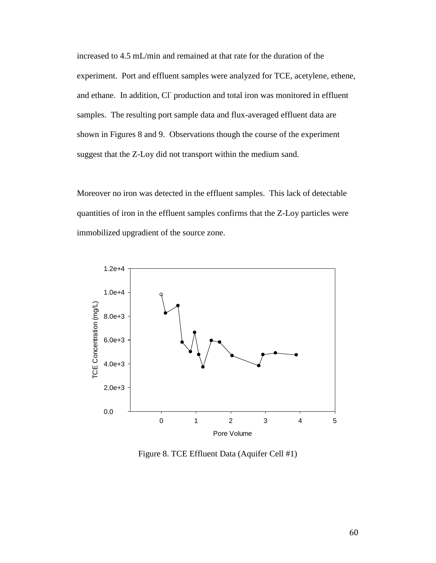increased to 4.5 mL/min and remained at that rate for the duration of the experiment. Port and effluent samples were analyzed for TCE, acetylene, ethene, and ethane. In addition, Cl production and total iron was monitored in effluent samples. The resulting port sample data and flux-averaged effluent data are shown in Figures 8 and 9. Observations though the course of the experiment suggest that the Z-Loy did not transport within the medium sand.

Moreover no iron was detected in the effluent samples. This lack of detectable quantities of iron in the effluent samples confirms that the Z-Loy particles were immobilized upgradient of the source zone.



Figure 8. TCE Effluent Data (Aquifer Cell #1)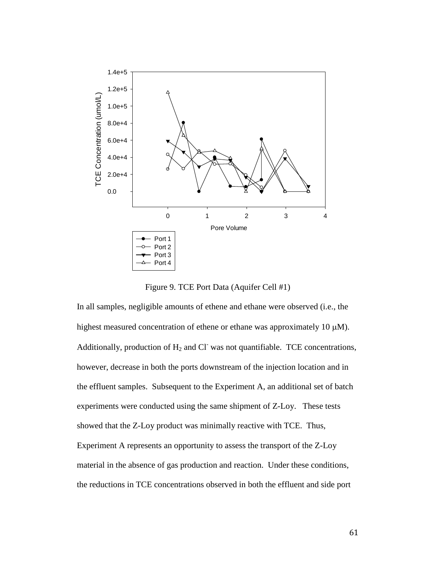

Figure 9. TCE Port Data (Aquifer Cell #1)

In all samples, negligible amounts of ethene and ethane were observed (i.e., the highest measured concentration of ethene or ethane was approximately 10  $\mu$ M). Additionally, production of  $H_2$  and Cl<sup>-</sup> was not quantifiable. TCE concentrations, however, decrease in both the ports downstream of the injection location and in the effluent samples. Subsequent to the Experiment A, an additional set of batch experiments were conducted using the same shipment of Z-Loy. These tests showed that the Z-Loy product was minimally reactive with TCE. Thus, Experiment A represents an opportunity to assess the transport of the Z-Loy material in the absence of gas production and reaction. Under these conditions, the reductions in TCE concentrations observed in both the effluent and side port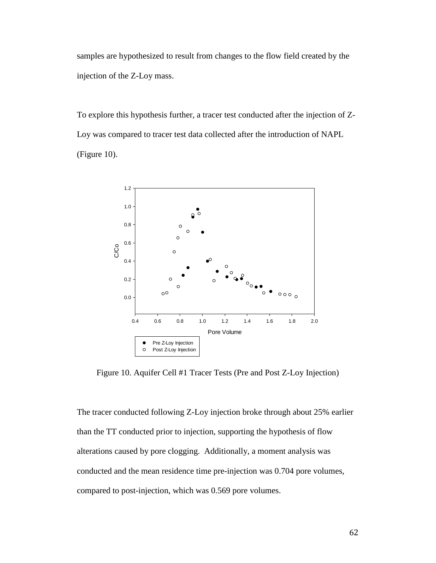samples are hypothesized to result from changes to the flow field created by the injection of the Z-Loy mass.

To explore this hypothesis further, a tracer test conducted after the injection of Z-Loy was compared to tracer test data collected after the introduction of NAPL (Figure 10).



Figure 10. Aquifer Cell #1 Tracer Tests (Pre and Post Z-Loy Injection)

The tracer conducted following Z-Loy injection broke through about 25% earlier than the TT conducted prior to injection, supporting the hypothesis of flow alterations caused by pore clogging. Additionally, a moment analysis was conducted and the mean residence time pre-injection was 0.704 pore volumes, compared to post-injection, which was 0.569 pore volumes.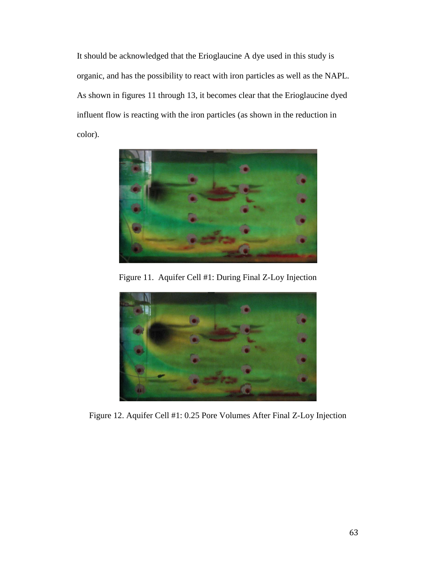It should be acknowledged that the Erioglaucine A dye used in this study is organic, and has the possibility to react with iron particles as well as the NAPL. As shown in figures 11 through 13, it becomes clear that the Erioglaucine dyed influent flow is reacting with the iron particles (as shown in the reduction in color).



Figure 11. Aquifer Cell #1: During Final Z-Loy Injection



Figure 12. Aquifer Cell #1: 0.25 Pore Volumes After Final Z-Loy Injection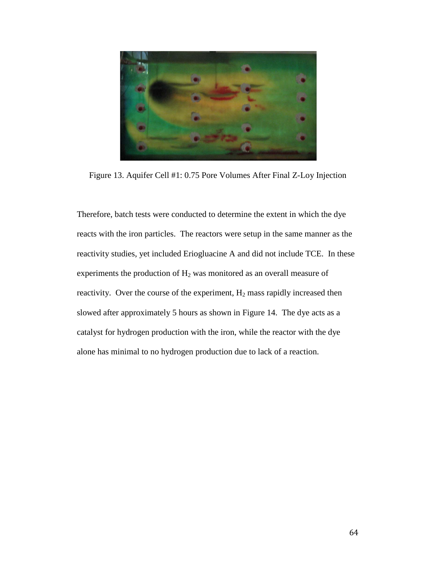

Figure 13. Aquifer Cell #1: 0.75 Pore Volumes After Final Z-Loy Injection

Therefore, batch tests were conducted to determine the extent in which the dye reacts with the iron particles. The reactors were setup in the same manner as the reactivity studies, yet included Eriogluacine A and did not include TCE. In these experiments the production of  $H_2$  was monitored as an overall measure of reactivity. Over the course of the experiment,  $H_2$  mass rapidly increased then slowed after approximately 5 hours as shown in Figure 14. The dye acts as a catalyst for hydrogen production with the iron, while the reactor with the dye alone has minimal to no hydrogen production due to lack of a reaction.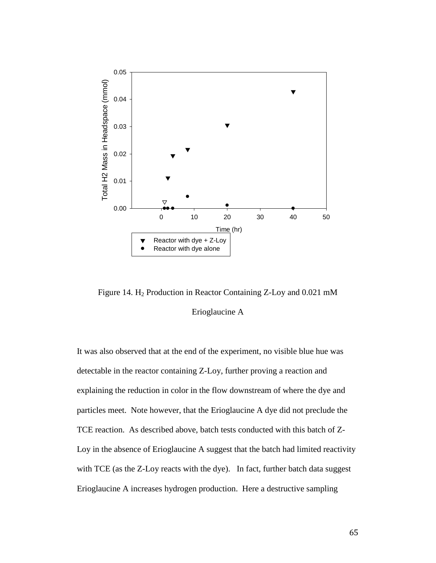

Figure 14. H2 Production in Reactor Containing Z-Loy and 0.021 mM Erioglaucine A

It was also observed that at the end of the experiment, no visible blue hue was detectable in the reactor containing Z-Loy, further proving a reaction and explaining the reduction in color in the flow downstream of where the dye and particles meet. Note however, that the Erioglaucine A dye did not preclude the TCE reaction. As described above, batch tests conducted with this batch of Z-Loy in the absence of Erioglaucine A suggest that the batch had limited reactivity with TCE (as the Z-Loy reacts with the dye). In fact, further batch data suggest Erioglaucine A increases hydrogen production. Here a destructive sampling

65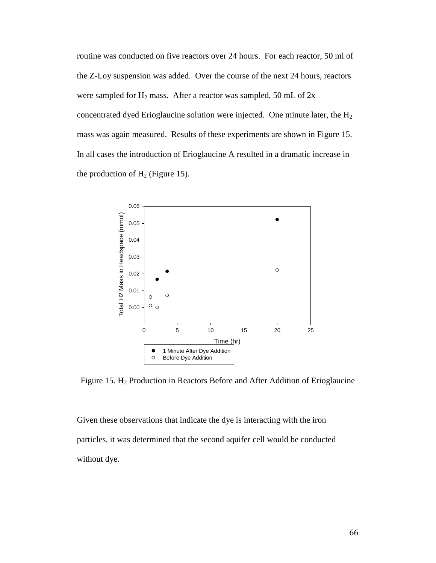routine was conducted on five reactors over 24 hours. For each reactor, 50 ml of the Z-Loy suspension was added. Over the course of the next 24 hours, reactors were sampled for  $H_2$  mass. After a reactor was sampled, 50 mL of  $2x$ concentrated dyed Erioglaucine solution were injected. One minute later, the  $H_2$ mass was again measured. Results of these experiments are shown in Figure 15. In all cases the introduction of Erioglaucine A resulted in a dramatic increase in the production of  $H_2$  (Figure 15).



Figure 15. H<sub>2</sub> Production in Reactors Before and After Addition of Erioglaucine

Given these observations that indicate the dye is interacting with the iron particles, it was determined that the second aquifer cell would be conducted without dye.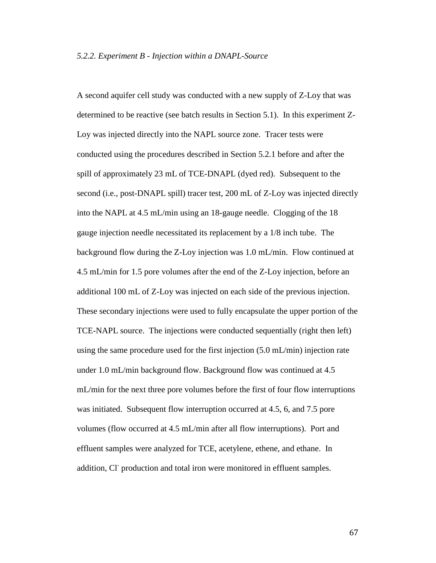A second aquifer cell study was conducted with a new supply of Z-Loy that was determined to be reactive (see batch results in Section 5.1). In this experiment Z-Loy was injected directly into the NAPL source zone. Tracer tests were conducted using the procedures described in Section 5.2.1 before and after the spill of approximately 23 mL of TCE-DNAPL (dyed red). Subsequent to the second (i.e., post-DNAPL spill) tracer test, 200 mL of Z-Loy was injected directly into the NAPL at 4.5 mL/min using an 18-gauge needle. Clogging of the 18 gauge injection needle necessitated its replacement by a 1/8 inch tube. The background flow during the Z-Loy injection was 1.0 mL/min. Flow continued at 4.5 mL/min for 1.5 pore volumes after the end of the Z-Loy injection, before an additional 100 mL of Z-Loy was injected on each side of the previous injection. These secondary injections were used to fully encapsulate the upper portion of the TCE-NAPL source. The injections were conducted sequentially (right then left) using the same procedure used for the first injection (5.0 mL/min) injection rate under 1.0 mL/min background flow. Background flow was continued at 4.5 mL/min for the next three pore volumes before the first of four flow interruptions was initiated. Subsequent flow interruption occurred at 4.5, 6, and 7.5 pore volumes (flow occurred at 4.5 mL/min after all flow interruptions). Port and effluent samples were analyzed for TCE, acetylene, ethene, and ethane. In addition, Cl- production and total iron were monitored in effluent samples.

67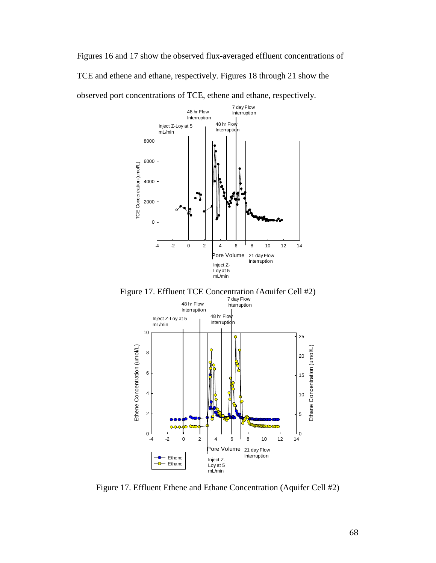Figures 16 and 17 show the observed flux-averaged effluent concentrations of TCE and ethene and ethane, respectively. Figures 18 through 21 show the observed port concentrations of TCE, ethene and ethane, respectively.



Figure 17. Effluent TCE Concentration (Aquifer Cell #2)



Figure 17. Effluent Ethene and Ethane Concentration (Aquifer Cell #2)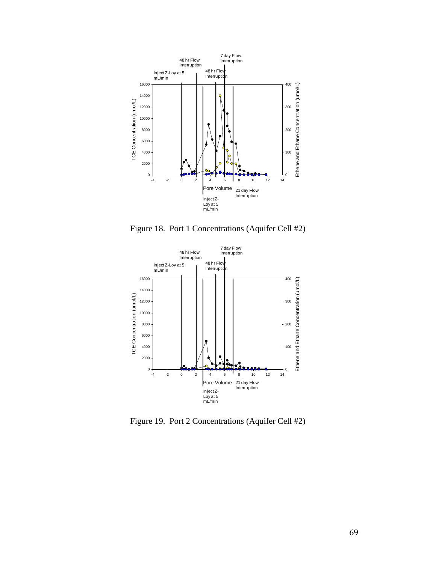

Figure 18. Port 1 Concentrations (Aquifer Cell #2)



Figure 19. Port 2 Concentrations (Aquifer Cell #2)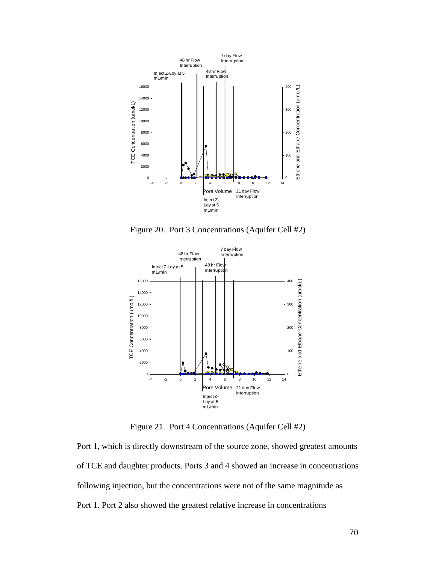

Figure 20. Port 3 Concentrations (Aquifer Cell #2)



Figure 21. Port 4 Concentrations (Aquifer Cell #2)

Port 1, which is directly downstream of the source zone, showed greatest amounts of TCE and daughter products. Ports 3 and 4 showed an increase in concentrations following injection, but the concentrations were not of the same magnitude as Port 1. Port 2 also showed the greatest relative increase in concentrations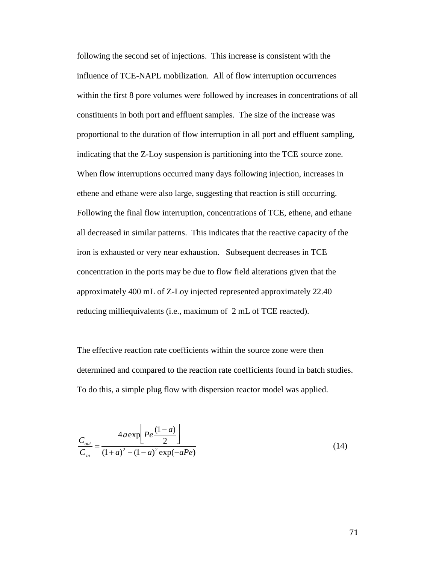following the second set of injections. This increase is consistent with the influence of TCE-NAPL mobilization. All of flow interruption occurrences within the first 8 pore volumes were followed by increases in concentrations of all constituents in both port and effluent samples. The size of the increase was proportional to the duration of flow interruption in all port and effluent sampling, indicating that the Z-Loy suspension is partitioning into the TCE source zone. When flow interruptions occurred many days following injection, increases in ethene and ethane were also large, suggesting that reaction is still occurring. Following the final flow interruption, concentrations of TCE, ethene, and ethane all decreased in similar patterns. This indicates that the reactive capacity of the iron is exhausted or very near exhaustion. Subsequent decreases in TCE concentration in the ports may be due to flow field alterations given that the approximately 400 mL of Z-Loy injected represented approximately 22.40 reducing milliequivalents (i.e., maximum of 2 mL of TCE reacted).

The effective reaction rate coefficients within the source zone were then determined and compared to the reaction rate coefficients found in batch studies. To do this, a simple plug flow with dispersion reactor model was applied.

$$
\frac{C_{out}}{C_{in}} = \frac{4a \exp\left[Pe \frac{(1-a)}{2}\right]}{(1+a)^2 - (1-a)^2 \exp(-aPe)}
$$
(14)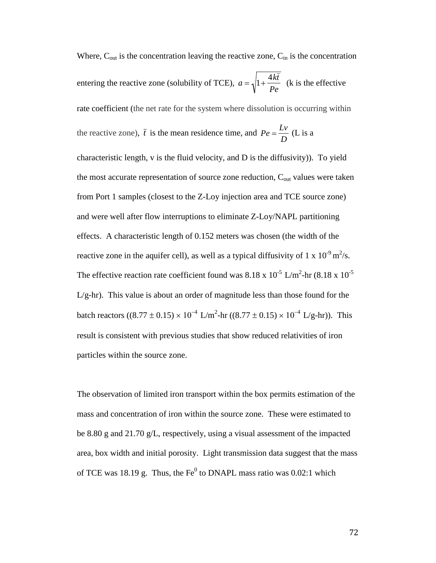Where,  $C_{\text{out}}$  is the concentration leaving the reactive zone,  $C_{\text{in}}$  is the concentration entering the reactive zone (solubility of TCE),  $a = \sqrt{1 + \frac{4k\bar{t}}{R}}$  $\frac{m}{Pe}$  (k is the effective rate coefficient (the net rate for the system where dissolution is occurring within the reactive zone),  $\bar{t}$  is the mean residence time, and  $Pe = \frac{Lv}{D}$  (L is a characteristic length, v is the fluid velocity, and D is the diffusivity)). To yield the most accurate representation of source zone reduction,  $C_{out}$  values were taken from Port 1 samples (closest to the Z-Loy injection area and TCE source zone) and were well after flow interruptions to eliminate Z-Loy/NAPL partitioning effects. A characteristic length of 0.152 meters was chosen (the width of the reactive zone in the aquifer cell), as well as a typical diffusivity of 1 x  $10^{-9}$  m<sup>2</sup>/s. The effective reaction rate coefficient found was 8.18 x  $10^{-5}$  L/m<sup>2</sup>-hr (8.18 x  $10^{-5}$ )  $L/g-hr$ ). This value is about an order of magnitude less than those found for the batch reactors ((8.77 ± 0.15) × 10<sup>-4</sup> L/m<sup>2</sup>-hr ((8.77 ± 0.15) × 10<sup>-4</sup> L/g-hr)). This result is consistent with previous studies that show reduced relativities of iron particles within the source zone.

The observation of limited iron transport within the box permits estimation of the mass and concentration of iron within the source zone. These were estimated to be 8.80 g and 21.70 g/L, respectively, using a visual assessment of the impacted area, box width and initial porosity. Light transmission data suggest that the mass of TCE was 18.19 g. Thus, the  $Fe<sup>0</sup>$  to DNAPL mass ratio was 0.02:1 which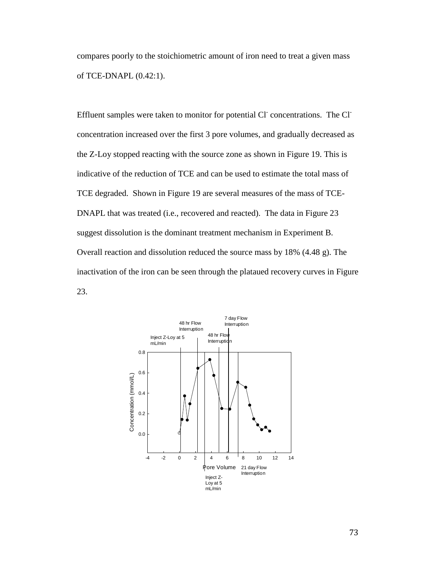compares poorly to the stoichiometric amount of iron need to treat a given mass of TCE-DNAPL (0.42:1).

Effluent samples were taken to monitor for potential Cl<sup>-</sup> concentrations. The Cl<sup>-</sup> concentration increased over the first 3 pore volumes, and gradually decreased as the Z-Loy stopped reacting with the source zone as shown in Figure 19. This is indicative of the reduction of TCE and can be used to estimate the total mass of TCE degraded. Shown in Figure 19 are several measures of the mass of TCE-DNAPL that was treated (i.e., recovered and reacted). The data in Figure 23 suggest dissolution is the dominant treatment mechanism in Experiment B. Overall reaction and dissolution reduced the source mass by 18% (4.48 g). The inactivation of the iron can be seen through the plataued recovery curves in Figure 23.

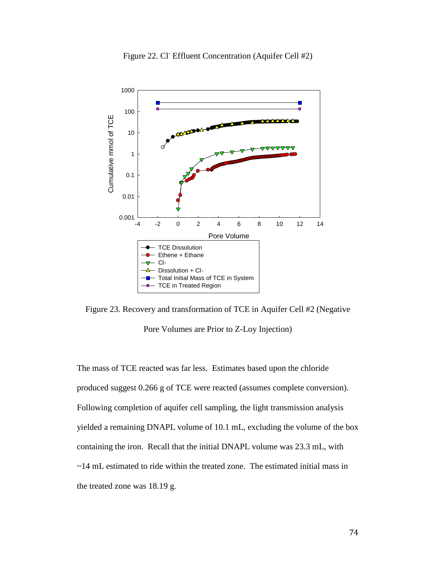

Figure 22. Cl<sup>-</sup> Effluent Concentration (Aquifer Cell #2)

Figure 23. Recovery and transformation of TCE in Aquifer Cell #2 (Negative Pore Volumes are Prior to Z-Loy Injection)

The mass of TCE reacted was far less. Estimates based upon the chloride produced suggest 0.266 g of TCE were reacted (assumes complete conversion). Following completion of aquifer cell sampling, the light transmission analysis yielded a remaining DNAPL volume of 10.1 mL, excluding the volume of the box containing the iron. Recall that the initial DNAPL volume was 23.3 mL, with ~14 mL estimated to ride within the treated zone. The estimated initial mass in the treated zone was 18.19 g.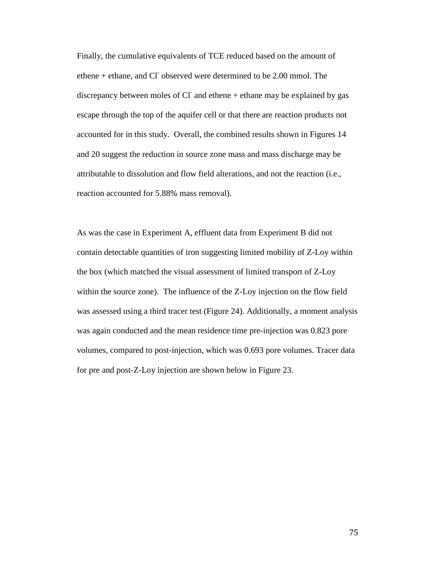Finally, the cumulative equivalents of TCE reduced based on the amount of ethene + ethane, and Cl- observed were determined to be 2.00 mmol. The discrepancy between moles of Cl $\overline{c}$  and ethene + ethane may be explained by gas escape through the top of the aquifer cell or that there are reaction products not accounted for in this study. Overall, the combined results shown in Figures 14 and 20 suggest the reduction in source zone mass and mass discharge may be attributable to dissolution and flow field alterations, and not the reaction (i.e., reaction accounted for 5.88% mass removal).

As was the case in Experiment A, effluent data from Experiment B did not contain detectable quantities of iron suggesting limited mobility of Z-Loy within the box (which matched the visual assessment of limited transport of Z-Loy within the source zone). The influence of the Z-Loy injection on the flow field was assessed using a third tracer test (Figure 24). Additionally, a moment analysis was again conducted and the mean residence time pre-injection was 0.823 pore volumes, compared to post-injection, which was 0.693 pore volumes. Tracer data for pre and post-Z-Loy injection are shown below in Figure 23.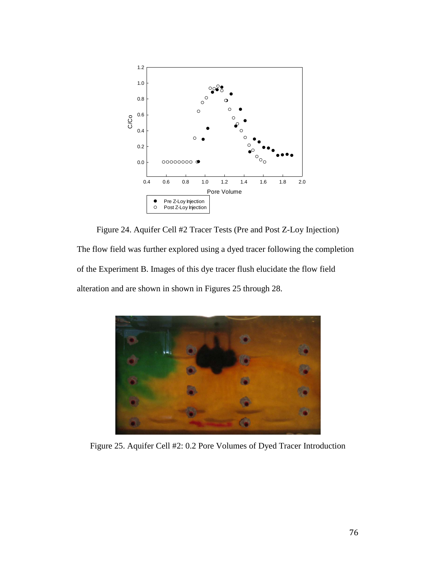

Figure 24. Aquifer Cell #2 Tracer Tests (Pre and Post Z-Loy Injection) The flow field was further explored using a dyed tracer following the completion of the Experiment B. Images of this dye tracer flush elucidate the flow field alteration and are shown in shown in Figures 25 through 28.



Figure 25. Aquifer Cell #2: 0.2 Pore Volumes of Dyed Tracer Introduction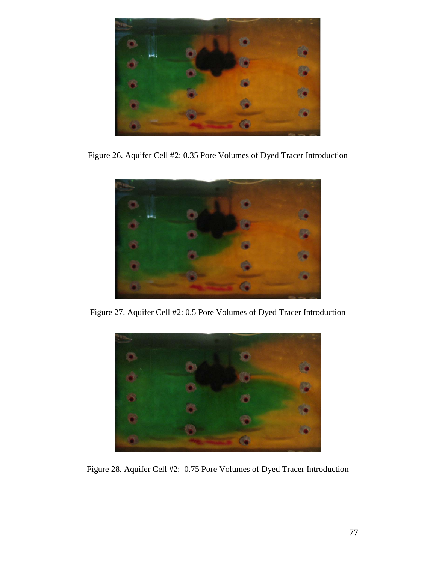

Figure 26. Aquifer Cell #2: 0.35 Pore Volumes of Dyed Tracer Introduction



Figure 27. Aquifer Cell #2: 0.5 Pore Volumes of Dyed Tracer Introduction



Figure 28. Aquifer Cell #2: 0.75 Pore Volumes of Dyed Tracer Introduction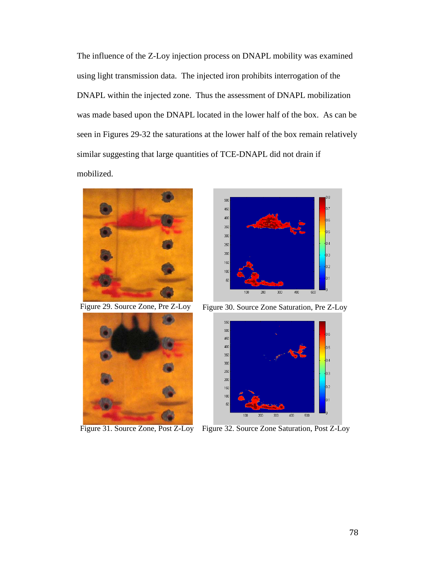The influence of the Z-Loy injection process on DNAPL mobility was examined using light transmission data. The injected iron prohibits interrogation of the DNAPL within the injected zone. Thus the assessment of DNAPL mobilization was made based upon the DNAPL located in the lower half of the box. As can be seen in Figures 29-32 the saturations at the lower half of the box remain relatively similar suggesting that large quantities of TCE-DNAPL did not drain if mobilized.



Figure 29. Source Zone, Pre Z-Loy



Figure 31. Source Zone, Post Z-Loy



Figure 30. Source Zone Saturation, Pre Z-Loy



Figure 32. Source Zone Saturation, Post Z-Loy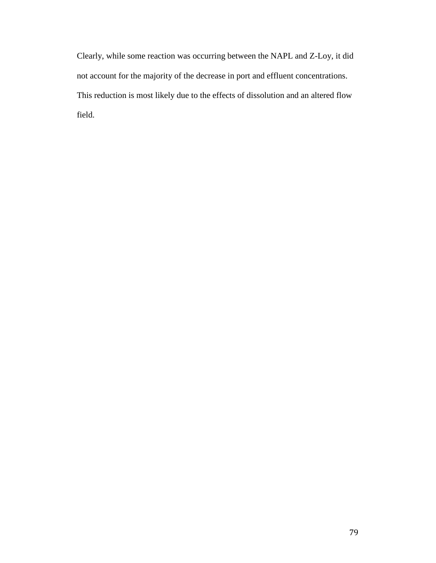Clearly, while some reaction was occurring between the NAPL and Z-Loy, it did not account for the majority of the decrease in port and effluent concentrations. This reduction is most likely due to the effects of dissolution and an altered flow field.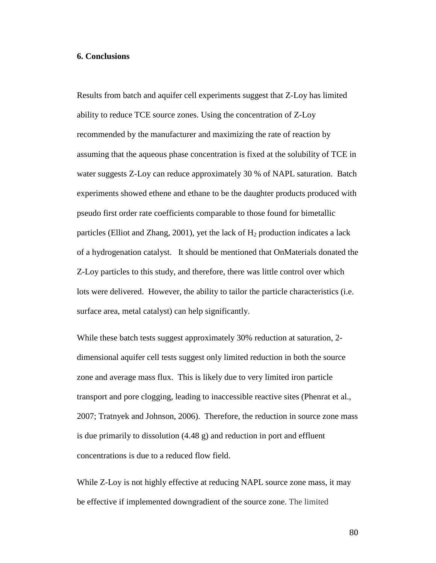## **6. Conclusions**

Results from batch and aquifer cell experiments suggest that Z-Loy has limited ability to reduce TCE source zones. Using the concentration of Z-Loy recommended by the manufacturer and maximizing the rate of reaction by assuming that the aqueous phase concentration is fixed at the solubility of TCE in water suggests Z-Loy can reduce approximately 30 % of NAPL saturation. Batch experiments showed ethene and ethane to be the daughter products produced with pseudo first order rate coefficients comparable to those found for bimetallic particles (Elliot and Zhang, 2001), yet the lack of  $H_2$  production indicates a lack of a hydrogenation catalyst. It should be mentioned that OnMaterials donated the Z-Loy particles to this study, and therefore, there was little control over which lots were delivered. However, the ability to tailor the particle characteristics (i.e. surface area, metal catalyst) can help significantly.

While these batch tests suggest approximately 30% reduction at saturation, 2 dimensional aquifer cell tests suggest only limited reduction in both the source zone and average mass flux. This is likely due to very limited iron particle transport and pore clogging, leading to inaccessible reactive sites (Phenrat et al., 2007; Tratnyek and Johnson, 2006). Therefore, the reduction in source zone mass is due primarily to dissolution (4.48 g) and reduction in port and effluent concentrations is due to a reduced flow field.

While Z-Loy is not highly effective at reducing NAPL source zone mass, it may be effective if implemented downgradient of the source zone. The limited

80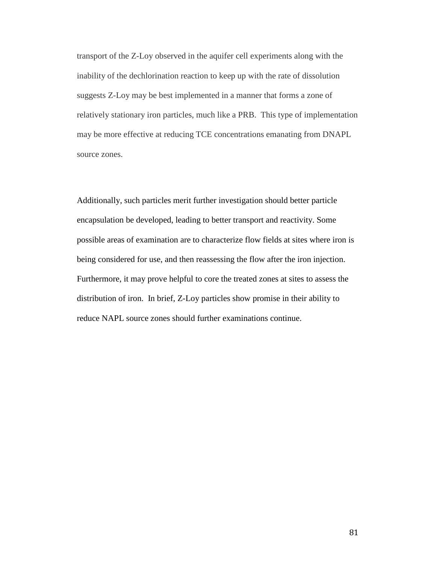transport of the Z-Loy observed in the aquifer cell experiments along with the inability of the dechlorination reaction to keep up with the rate of dissolution suggests Z-Loy may be best implemented in a manner that forms a zone of relatively stationary iron particles, much like a PRB. This type of implementation may be more effective at reducing TCE concentrations emanating from DNAPL source zones.

Additionally, such particles merit further investigation should better particle encapsulation be developed, leading to better transport and reactivity. Some possible areas of examination are to characterize flow fields at sites where iron is being considered for use, and then reassessing the flow after the iron injection. Furthermore, it may prove helpful to core the treated zones at sites to assess the distribution of iron. In brief, Z-Loy particles show promise in their ability to reduce NAPL source zones should further examinations continue.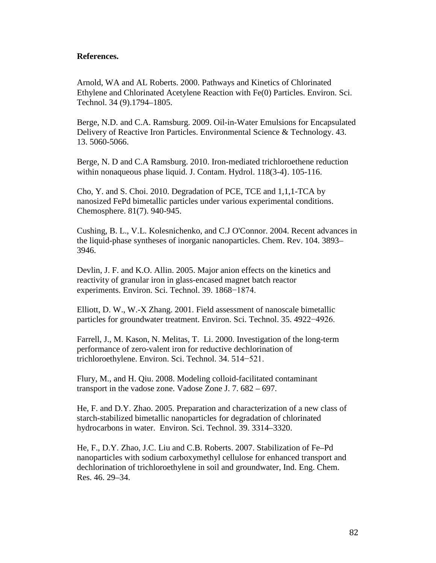## **References.**

Arnold, WA and AL Roberts. 2000. Pathways and Kinetics of Chlorinated Ethylene and Chlorinated Acetylene Reaction with Fe(0) Particles. Environ. Sci. Technol. 34 (9).1794–1805.

Berge, N.D. and C.A. Ramsburg. 2009. Oil-in-Water Emulsions for Encapsulated Delivery of Reactive Iron Particles. Environmental Science & Technology. 43. 13. 5060-5066.

Berge, N. D and C.A Ramsburg. 2010. Iron-mediated trichloroethene reduction within nonaqueous phase liquid. J. Contam. Hydrol. [118\(3-4](http://www.sciencedirect.com/science?_ob=PublicationURL&_tockey=%23TOC%235888%232010%23998819996%232724737%23FLA%23&_cdi=5888&_pubType=J&view=c&_auth=y&_acct=C000014058&_version=1&_urlVersion=0&_userid=201547&md5=404c4e683fb86e73832e32d0b2f246e9)). 105-116.

Cho, Y. and S. Choi. 2010. Degradation of PCE, TCE and 1,1,1-TCA by nanosized FePd bimetallic particles under various experimental conditions. Chemosphere. 81(7). 940-945.

Cushing, B. L., V.L. Kolesnichenko, and C.J O'Connor. 2004. Recent advances in the liquid-phase syntheses of inorganic nanoparticles. Chem. Rev. 104. 3893– 3946.

Devlin, J. F. and K.O. Allin. 2005. Major anion effects on the kinetics and reactivity of granular iron in glass-encased magnet batch reactor experiments. Environ. Sci. Technol. 39. 1868−1874.

Elliott, D. W., W.-X Zhang. 2001. Field assessment of nanoscale bimetallic particles for groundwater treatment. Environ. Sci. Technol. 35. 4922−4926.

Farrell, J., M. Kason, N. Melitas, T. Li. 2000. Investigation of the long-term performance of zero-valent iron for reductive dechlorination of trichloroethylene. Environ. Sci. Technol. 34. 514−521.

Flury, M., and H. Qiu. 2008. Modeling colloid-facilitated contaminant transport in the vadose zone. Vadose Zone J. 7. 682 – 697.

He, F. and D.Y. Zhao. 2005. Preparation and characterization of a new class of starch-stabilized bimetallic nanoparticles for degradation of chlorinated hydrocarbons in water. Environ. Sci. Technol. 39. 3314–3320.

He, F., D.Y. Zhao, J.C. Liu and C.B. Roberts. 2007. Stabilization of Fe–Pd nanoparticles with sodium carboxymethyl cellulose for enhanced transport and dechlorination of trichloroethylene in soil and groundwater, Ind. Eng. Chem. Res. 46. 29–34.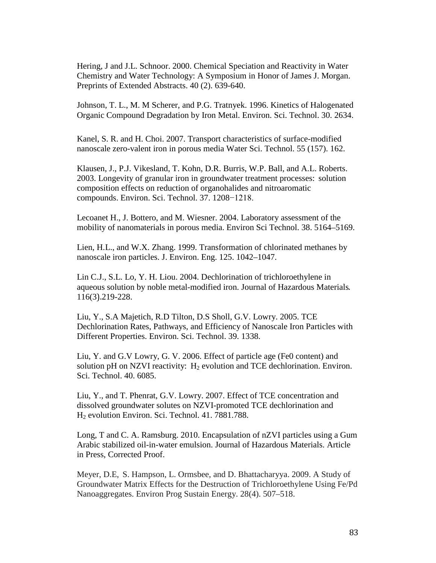Hering, J and J.L. Schnoor. 2000. Chemical Speciation and Reactivity in Water Chemistry and Water Technology: A Symposium in Honor of James J. Morgan. Preprints of Extended Abstracts. 40 (2). 639-640.

Johnson, T. L., M. M Scherer, and P.G. Tratnyek. 1996. Kinetics of Halogenated Organic Compound Degradation by Iron Metal. Environ. Sci. Technol. 30. 2634.

Kanel, S. R. and H. Choi. 2007. Transport characteristics of surface-modified nanoscale zero-valent iron in porous media Water Sci. Technol. 55 (157). 162.

Klausen, J., P.J. Vikesland, T. Kohn, D.R. Burris, W.P. Ball, and A.L. Roberts. 2003. Longevity of granular iron in groundwater treatment processes: solution composition effects on reduction of organohalides and nitroaromatic compounds. Environ. Sci. Technol. 37. 1208−1218.

Lecoanet H., J. Bottero, and M. Wiesner. 2004. Laboratory assessment of the mobility of nanomaterials in porous media. Environ Sci Technol. 38. 5164–5169.

Lien, H.L., and W.X. Zhang. 1999. Transformation of chlorinated methanes by nanoscale iron particles. J. Environ. Eng. 125. 1042–1047.

Lin C.J., [S.L.](http://www.sciencedirect.com.ezproxy.library.tufts.edu/science?_ob=RedirectURL&_method=outwardLink&_partnerName=27983&_origin=article&_zone=art_page&_linkType=scopusAuthorDocuments&_targetURL=http%3A%2F%2Fwww.scopus.com%2Fscopus%2Finward%2Fauthor.url%3FpartnerID%3D10%26rel%3D3.0.0%26sortField%3Dcited%26sortOrder%3Dasc%26author%3DLo,%2520Shang%2520Lien%26authorID%3D7401542147%26md5%3Dd86309ced3ecd8a720d3aab5ed8506e8&_acct=C000014058&_version=1&_userid=201547&md5=48b1b52d077a6a308c12cbe4a6bd28ef) Lo, Y. H. [Liou.](http://www.sciencedirect.com.ezproxy.library.tufts.edu/science?_ob=RedirectURL&_method=outwardLink&_partnerName=27983&_origin=article&_zone=art_page&_linkType=scopusAuthorDocuments&_targetURL=http%3A%2F%2Fwww.scopus.com%2Fscopus%2Finward%2Fauthor.url%3FpartnerID%3D10%26rel%3D3.0.0%26sortField%3Dcited%26sortOrder%3Dasc%26author%3DLiou,%2520Ya%2520Hsuan%26authorID%3D7102949488%26md5%3D103bbf5082bf22415fd1cc45c7d3232b&_acct=C000014058&_version=1&_userid=201547&md5=c44dc7b8b5b32cd8ffa6ae16888047cc) 2004. Dechlorination of trichloroethylene in aqueous solution by noble metal-modified iron. Journal of [Hazardous](http://www.sciencedirect.com.ezproxy.library.tufts.edu/science/journal/03043894) Materials. [116\(3](http://www.sciencedirect.com.ezproxy.library.tufts.edu/science?_ob=PublicationURL&_tockey=%23TOC%235253%232004%23998839996%23541450%23FLA%23&_cdi=5253&_pubType=J&view=c&_auth=y&_acct=C000014058&_version=1&_urlVersion=0&_userid=201547&md5=c1da648aa1c9a07ed79412078d0404d6)).219-228.

Liu, Y., S.A Majetich, R.D Tilton, D.S Sholl, G.V. Lowry. 2005. TCE Dechlorination Rates, Pathways, and Efficiency of Nanoscale Iron Particles with Different Properties. Environ. Sci. Technol. 39. 1338.

Liu, Y. and G.V Lowry, G. V. 2006. Effect of particle age (Fe0 content) and solution pH on NZVI reactivity:  $H_2$  evolution and TCE dechlorination. Environ. Sci. Technol. 40. 6085.

Liu, Y., and T. Phenrat, G.V. Lowry. 2007. Effect of TCE concentration and dissolved groundwater solutes on NZVI-promoted TCE dechlorination and H2 evolution Environ. Sci. Technol. 41. 7881.788.

Long, T and C. A. Ramsburg. 2010. Encapsulation of nZVI particles using a Gum Arabic stabilized oil-in-water emulsion. Journal of [Hazardous](http://www.sciencedirect.com/science/journal/03043894) Materials. Article in Press, Corrected Proof.

Meyer, D.E, S. Hampson, L. Ormsbee, and D. Bhattacharyya. 2009. A Study of Groundwater Matrix Effects for the Destruction of Trichloroethylene Using Fe/Pd Nanoaggregates. Environ Prog Sustain Energy. 28(4). 507–518.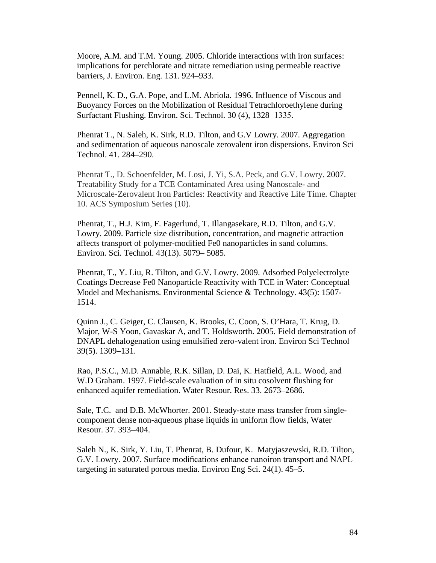Moore, A.M. and T.M. Young. 2005. Chloride interactions with iron surfaces: implications for perchlorate and nitrate remediation using permeable reactive barriers, J. Environ. Eng*.* 131. 924–933.

Pennell, K. D., G.A. Pope, and L.M. Abriola. 1996. Influence of Viscous and Buoyancy Forces on the Mobilization of Residual Tetrachloroethylene during Surfactant Flushing. Environ. Sci. Technol. 30 (4), 1328−1335.

Phenrat T., N. Saleh, K. Sirk, R.D. Tilton, and G.V Lowry. 2007. Aggregation and sedimentation of aqueous nanoscale zerovalent iron dispersions. Environ Sci Technol. 41. 284–290.

Phenrat T., D. Schoenfelder, M. Losi, J. Yi, S.A. Peck, and G.V. Lowry. 2007. Treatability Study for a TCE Contaminated Area using Nanoscale- and Microscale-Zerovalent Iron Particles: Reactivity and Reactive Life Time. Chapter 10. ACS Symposium Series (10).

Phenrat, T., H.J. Kim, F. Fagerlund, T. Illangasekare, R.D. Tilton, and G.V. Lowry. 2009. Particle size distribution, concentration, and magnetic attraction affects transport of polymer-modified Fe0 nanoparticles in sand columns. Environ. Sci. Technol. 43(13). 5079– 5085.

Phenrat, T., Y. Liu, R. Tilton, and G.V. Lowry. 2009. Adsorbed Polyelectrolyte Coatings Decrease Fe0 Nanoparticle Reactivity with TCE in Water: Conceptual Model and Mechanisms. Environmental Science & Technology. 43(5): 1507- 1514.

Quinn J., C. Geiger, C. Clausen, K. Brooks, C. Coon, S. O'Hara, T. Krug, D. Major, W-S Yoon, Gavaskar A, and T. Holdsworth. 2005. Field demonstration of DNAPL dehalogenation using emulsified zero-valent iron. Environ Sci Technol 39(5). 1309–131.

[Rao,](http://www.sciencedirect.com/science?_ob=ArticleURL&_udi=B6V94-412RX1C-D&_user=201547&_coverDate=09%2F30%2F2000&_rdoc=1&_fmt=high&_orig=gateway&_origin=gateway&_sort=d&_docanchor=&view=c&_searchStrId=1672147282&_rerunOrigin=scholar.google&_acct=C000014058&_version=1&_urlVersion=0&_userid=201547&md5=08cc75f4d9d0646b7048395d001b4796&searchtype=a#bbib36) P.S.C., M.D. Annable, R.K. Sillan, D. Dai, K. Hatfield, A.L. Wood, and W.D Graham. 1997. Field-scale evaluation of in situ cosolvent flushing for enhanced aquifer remediation. Water Resour. Res. 33. 2673–2686.

Sale, T.C. and D.B. McWhorter. 2001. Steady-state mass transfer from singlecomponent dense non-aqueous phase liquids in uniform flow fields, Water Resour. 37. 393–404.

Saleh N., K. Sirk, Y. Liu, T. Phenrat, B. Dufour, K. Matyjaszewski, R.D. Tilton, G.V. Lowry. 2007. Surface modifications enhance nanoiron transport and NAPL targeting in saturated porous media. Environ Eng Sci. 24(1). 45–5.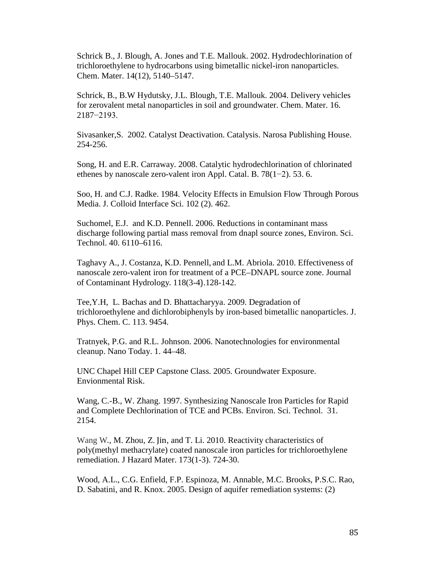Schrick B., J. Blough, A. Jones and T.E. Mallouk. 2002. Hydrodechlorination of trichloroethylene to hydrocarbons using bimetallic nickel-iron nanoparticles. Chem. Mater. 14(12), 5140–5147.

Schrick, B., B.W Hydutsky, J.L. Blough, T.E. Mallouk. 2004. Delivery vehicles for zerovalent metal nanoparticles in soil and groundwater. Chem. Mater. 16. 2187−2193.

Sivasanker,S. 2002. Catalyst Deactivation. Catalysis. Narosa Publishing House. 254-256.

Song, H. and E.R. Carraway. 2008. Catalytic hydrodechlorination of chlorinated ethenes by nanoscale zero-valent iron Appl. Catal. B. 78(1−2). 53. 6.

Soo, H. and C.J. Radke. 1984. Velocity Effects in Emulsion Flow Through Porous Media. J. Colloid Interface Sci. 102 (2). 462.

Suchomel, E.J. and K.D. Pennell. 2006. Reductions in contaminant mass discharge following partial mass removal from dnapl source zones, Environ. Sci. Technol. 40. 6110–6116.

Taghavy A., J. Costanza, K.D. Pennell, and L.M. Abriola. 2010. Effectiveness of nanoscale zero-valent iron for treatment of a PCE–DNAPL source zone. [Journal](http://www.sciencedirect.com/science/journal/01697722) of [Contaminant](http://www.sciencedirect.com/science/journal/01697722) Hydrology. [118\(3-4](http://www.sciencedirect.com/science?_ob=PublicationURL&_tockey=%23TOC%235888%232010%23998819996%232724737%23FLA%23&_cdi=5888&_pubType=J&view=c&_auth=y&_acct=C000050221&_version=1&_urlVersion=0&_userid=10&md5=45c0529f57b2920881242a5646fdaa49)).128-142.

Tee,Y.H, L. Bachas and D. Bhattacharyya. 2009. Degradation of trichloroethylene and dichlorobiphenyls by iron-based bimetallic nanoparticles. J. Phys. Chem. C. 113. 9454.

Tratnyek, P.G. and R.L. Johnson. 2006. Nanotechnologies for environmental cleanup. Nano Today. 1. 44–48.

UNC Chapel Hill CEP Capstone Class. 2005. Groundwater Exposure. Envionmental Risk.

Wang, C.-B., W. Zhang. 1997. Synthesizing Nanoscale Iron Particles for Rapid and Complete Dechlorination of TCE and PCBs. Environ. Sci. Technol. 31. 2154.

[Wang W](http://www.ncbi.nlm.nih.gov/pubmed?term=%22Wang%20W%22%5BAuthor%5D)., M. Zhou, Z. Jin, and T. Li. 2010. Reactivity characteristics of poly(methyl methacrylate) coated nanoscale iron particles for trichloroethylene remediation. [J Hazard Mater.](javascript:AL_get(this,%20) 173(1-3). 724-30.

Wood, A.L., C.G. Enfield, F.P. Espinoza, M. Annable, M.C. Brooks, P.S.C. Rao, D. Sabatini, and R. Knox. 2005. Design of aquifer remediation systems: (2)